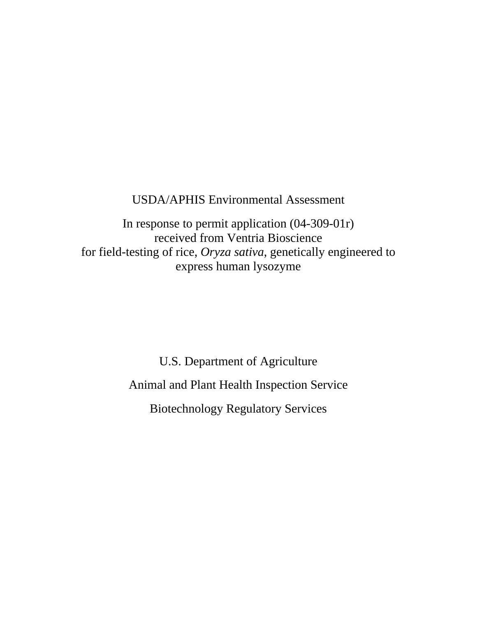## USDA/APHIS Environmental Assessment

In response to permit application (04-309-01r) received from Ventria Bioscience for field-testing of rice, *Oryza sativa*, genetically engineered to express human lysozyme

> U.S. Department of Agriculture Animal and Plant Health Inspection Service Biotechnology Regulatory Services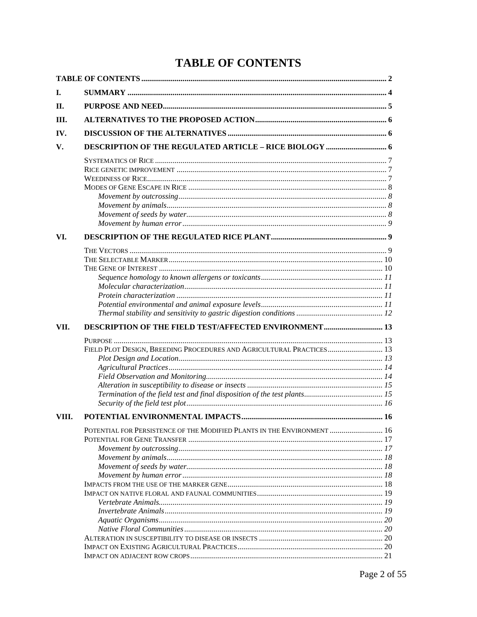# **TABLE OF CONTENTS**

| Н.<br>III.<br>IV.<br>V.<br>VI.<br><b>DESCRIPTION OF THE FIELD TEST/AFFECTED ENVIRONMENT  13</b><br>FIELD PLOT DESIGN, BREEDING PROCEDURES AND AGRICULTURAL PRACTICES 13<br>VIII.<br>POTENTIAL FOR PERSISTENCE OF THE MODIFIED PLANTS IN THE ENVIRONMENT  16 |      |  |
|-------------------------------------------------------------------------------------------------------------------------------------------------------------------------------------------------------------------------------------------------------------|------|--|
|                                                                                                                                                                                                                                                             | Ι.   |  |
|                                                                                                                                                                                                                                                             |      |  |
|                                                                                                                                                                                                                                                             |      |  |
|                                                                                                                                                                                                                                                             |      |  |
|                                                                                                                                                                                                                                                             |      |  |
|                                                                                                                                                                                                                                                             |      |  |
|                                                                                                                                                                                                                                                             |      |  |
|                                                                                                                                                                                                                                                             |      |  |
|                                                                                                                                                                                                                                                             |      |  |
|                                                                                                                                                                                                                                                             |      |  |
|                                                                                                                                                                                                                                                             |      |  |
|                                                                                                                                                                                                                                                             |      |  |
|                                                                                                                                                                                                                                                             |      |  |
|                                                                                                                                                                                                                                                             |      |  |
|                                                                                                                                                                                                                                                             |      |  |
|                                                                                                                                                                                                                                                             |      |  |
|                                                                                                                                                                                                                                                             |      |  |
|                                                                                                                                                                                                                                                             |      |  |
|                                                                                                                                                                                                                                                             |      |  |
|                                                                                                                                                                                                                                                             |      |  |
|                                                                                                                                                                                                                                                             |      |  |
|                                                                                                                                                                                                                                                             |      |  |
|                                                                                                                                                                                                                                                             | VII. |  |
|                                                                                                                                                                                                                                                             |      |  |
|                                                                                                                                                                                                                                                             |      |  |
|                                                                                                                                                                                                                                                             |      |  |
|                                                                                                                                                                                                                                                             |      |  |
|                                                                                                                                                                                                                                                             |      |  |
|                                                                                                                                                                                                                                                             |      |  |
|                                                                                                                                                                                                                                                             |      |  |
|                                                                                                                                                                                                                                                             |      |  |
|                                                                                                                                                                                                                                                             |      |  |
|                                                                                                                                                                                                                                                             |      |  |
|                                                                                                                                                                                                                                                             |      |  |
|                                                                                                                                                                                                                                                             |      |  |
|                                                                                                                                                                                                                                                             |      |  |
|                                                                                                                                                                                                                                                             |      |  |
|                                                                                                                                                                                                                                                             |      |  |
|                                                                                                                                                                                                                                                             |      |  |
|                                                                                                                                                                                                                                                             |      |  |
|                                                                                                                                                                                                                                                             |      |  |
|                                                                                                                                                                                                                                                             |      |  |
|                                                                                                                                                                                                                                                             |      |  |
|                                                                                                                                                                                                                                                             |      |  |
|                                                                                                                                                                                                                                                             |      |  |
|                                                                                                                                                                                                                                                             |      |  |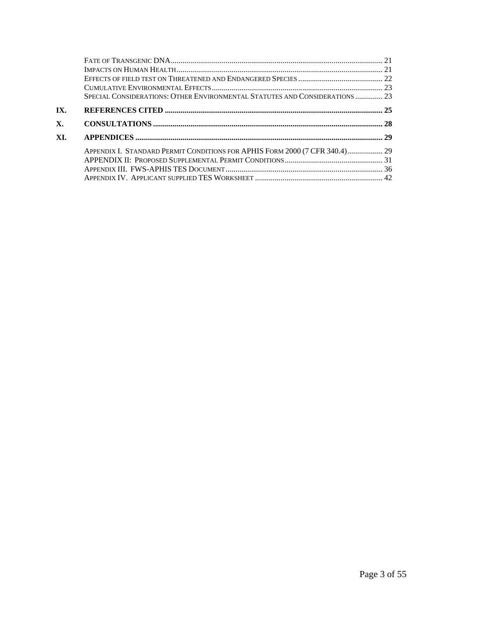|     | SPECIAL CONSIDERATIONS: OTHER ENVIRONMENTAL STATUTES AND CONSIDERATIONS  23 |  |
|-----|-----------------------------------------------------------------------------|--|
| IX. |                                                                             |  |
| Х.  |                                                                             |  |
| XI. |                                                                             |  |
|     | APPENDIX I. STANDARD PERMIT CONDITIONS FOR APHIS FORM 2000 (7 CFR 340.4) 29 |  |
|     |                                                                             |  |
|     |                                                                             |  |
|     |                                                                             |  |
|     |                                                                             |  |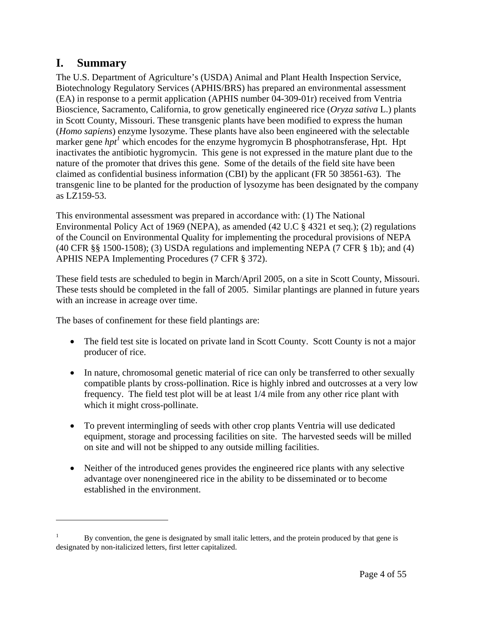## **I. Summary**

 $\overline{a}$ 

The U.S. Department of Agriculture's (USDA) Animal and Plant Health Inspection Service, Biotechnology Regulatory Services (APHIS/BRS) has prepared an environmental assessment (EA) in response to a permit application (APHIS number 04-309-01r) received from Ventria Bioscience, Sacramento, California, to grow genetically engineered rice (*Oryza sativa* L.) plants in Scott County, Missouri. These transgenic plants have been modified to express the human (*Homo sapiens*) enzyme lysozyme. These plants have also been engineered with the selectable marker gene *hpt<sup>1</sup>* which encodes for the enzyme hygromycin B phosphotransferase, Hpt. Hpt inactivates the antibiotic hygromycin. This gene is not expressed in the mature plant due to the nature of the promoter that drives this gene. Some of the details of the field site have been claimed as confidential business information (CBI) by the applicant (FR 50 38561-63). The transgenic line to be planted for the production of lysozyme has been designated by the company as LZ159-53.

This environmental assessment was prepared in accordance with: (1) The National Environmental Policy Act of 1969 (NEPA), as amended (42 U.C § 4321 et seq.); (2) regulations of the Council on Environmental Quality for implementing the procedural provisions of NEPA (40 CFR §§ 1500-1508); (3) USDA regulations and implementing NEPA (7 CFR § 1b); and (4) APHIS NEPA Implementing Procedures (7 CFR § 372).

These field tests are scheduled to begin in March/April 2005, on a site in Scott County, Missouri. These tests should be completed in the fall of 2005. Similar plantings are planned in future years with an increase in acreage over time.

The bases of confinement for these field plantings are:

- The field test site is located on private land in Scott County. Scott County is not a major producer of rice.
- In nature, chromosomal genetic material of rice can only be transferred to other sexually compatible plants by cross-pollination. Rice is highly inbred and outcrosses at a very low frequency. The field test plot will be at least 1/4 mile from any other rice plant with which it might cross-pollinate.
- To prevent intermingling of seeds with other crop plants Ventria will use dedicated equipment, storage and processing facilities on site. The harvested seeds will be milled on site and will not be shipped to any outside milling facilities.
- Neither of the introduced genes provides the engineered rice plants with any selective advantage over nonengineered rice in the ability to be disseminated or to become established in the environment.

<sup>1</sup> By convention, the gene is designated by small italic letters, and the protein produced by that gene is designated by non-italicized letters, first letter capitalized.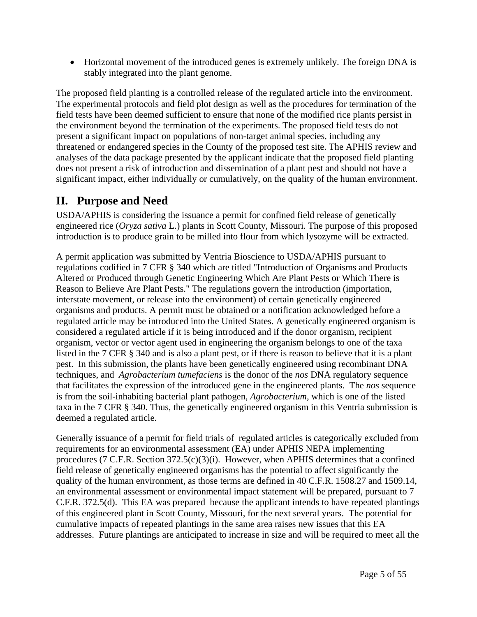• Horizontal movement of the introduced genes is extremely unlikely. The foreign DNA is stably integrated into the plant genome.

The proposed field planting is a controlled release of the regulated article into the environment. The experimental protocols and field plot design as well as the procedures for termination of the field tests have been deemed sufficient to ensure that none of the modified rice plants persist in the environment beyond the termination of the experiments. The proposed field tests do not present a significant impact on populations of non-target animal species, including any threatened or endangered species in the County of the proposed test site. The APHIS review and analyses of the data package presented by the applicant indicate that the proposed field planting does not present a risk of introduction and dissemination of a plant pest and should not have a significant impact, either individually or cumulatively, on the quality of the human environment.

# **II. Purpose and Need**

USDA/APHIS is considering the issuance a permit for confined field release of genetically engineered rice (*Oryza sativa* L.) plants in Scott County, Missouri. The purpose of this proposed introduction is to produce grain to be milled into flour from which lysozyme will be extracted.

A permit application was submitted by Ventria Bioscience to USDA/APHIS pursuant to regulations codified in 7 CFR § 340 which are titled "Introduction of Organisms and Products Altered or Produced through Genetic Engineering Which Are Plant Pests or Which There is Reason to Believe Are Plant Pests." The regulations govern the introduction (importation, interstate movement, or release into the environment) of certain genetically engineered organisms and products. A permit must be obtained or a notification acknowledged before a regulated article may be introduced into the United States. A genetically engineered organism is considered a regulated article if it is being introduced and if the donor organism, recipient organism, vector or vector agent used in engineering the organism belongs to one of the taxa listed in the 7 CFR § 340 and is also a plant pest, or if there is reason to believe that it is a plant pest. In this submission, the plants have been genetically engineered using recombinant DNA techniques, and *Agrobacterium tumefaciens* is the donor of the *nos* DNA regulatory sequence that facilitates the expression of the introduced gene in the engineered plants. The *nos* sequence is from the soil-inhabiting bacterial plant pathogen, *Agrobacterium*, which is one of the listed taxa in the 7 CFR § 340. Thus, the genetically engineered organism in this Ventria submission is deemed a regulated article.

Generally issuance of a permit for field trials of regulated articles is categorically excluded from requirements for an environmental assessment (EA) under APHIS NEPA implementing procedures (7 C.F.R. Section 372.5(c)(3)(i). However, when APHIS determines that a confined field release of genetically engineered organisms has the potential to affect significantly the quality of the human environment, as those terms are defined in 40 C.F.R. 1508.27 and 1509.14, an environmental assessment or environmental impact statement will be prepared, pursuant to 7 C.F.R. 372.5(d). This EA was prepared because the applicant intends to have repeated plantings of this engineered plant in Scott County, Missouri, for the next several years. The potential for cumulative impacts of repeated plantings in the same area raises new issues that this EA addresses. Future plantings are anticipated to increase in size and will be required to meet all the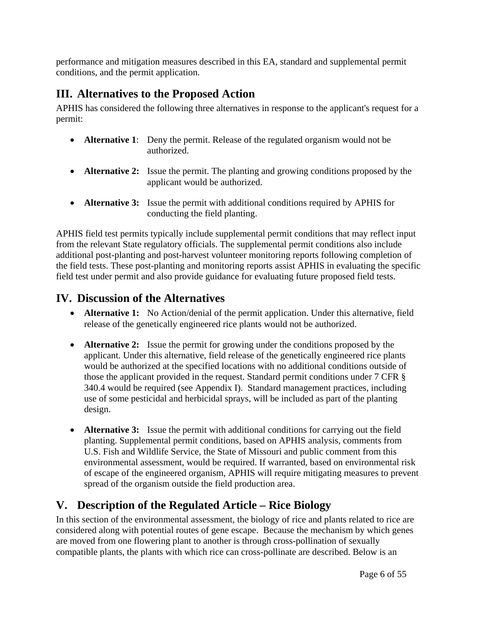performance and mitigation measures described in this EA, standard and supplemental permit conditions, and the permit application.

# **III. Alternatives to the Proposed Action**

APHIS has considered the following three alternatives in response to the applicant's request for a permit:

- **Alternative 1:** Deny the permit. Release of the regulated organism would not be authorized.
- **Alternative 2:** Issue the permit. The planting and growing conditions proposed by the applicant would be authorized.
- **Alternative 3:** Issue the permit with additional conditions required by APHIS for conducting the field planting.

APHIS field test permits typically include supplemental permit conditions that may reflect input from the relevant State regulatory officials. The supplemental permit conditions also include additional post-planting and post-harvest volunteer monitoring reports following completion of the field tests. These post-planting and monitoring reports assist APHIS in evaluating the specific field test under permit and also provide guidance for evaluating future proposed field tests.

## **IV. Discussion of the Alternatives**

- **Alternative 1:** No Action/denial of the permit application. Under this alternative, field release of the genetically engineered rice plants would not be authorized.
- **Alternative 2:** Issue the permit for growing under the conditions proposed by the applicant. Under this alternative, field release of the genetically engineered rice plants would be authorized at the specified locations with no additional conditions outside of those the applicant provided in the request. Standard permit conditions under 7 CFR § 340.4 would be required (see Appendix I). Standard management practices, including use of some pesticidal and herbicidal sprays, will be included as part of the planting design.
- **Alternative 3:** Issue the permit with additional conditions for carrying out the field planting. Supplemental permit conditions, based on APHIS analysis, comments from U.S. Fish and Wildlife Service, the State of Missouri and public comment from this environmental assessment, would be required. If warranted, based on environmental risk of escape of the engineered organism, APHIS will require mitigating measures to prevent spread of the organism outside the field production area.

# **V. Description of the Regulated Article – Rice Biology**

In this section of the environmental assessment, the biology of rice and plants related to rice are considered along with potential routes of gene escape. Because the mechanism by which genes are moved from one flowering plant to another is through cross-pollination of sexually compatible plants, the plants with which rice can cross-pollinate are described. Below is an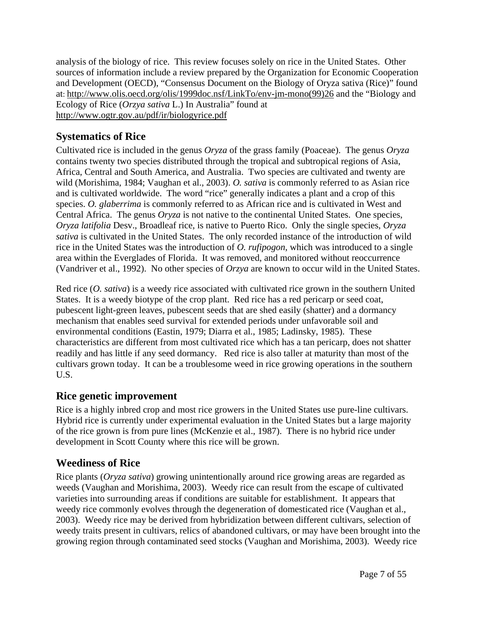analysis of the biology of rice. This review focuses solely on rice in the United States. Other sources of information include a review prepared by the Organization for Economic Cooperation and Development (OECD), "Consensus Document on the Biology of Oryza sativa (Rice)" found at: http://www.olis.oecd.org/olis/1999doc.nsf/LinkTo/env-jm-mono(99)26 and the "Biology and Ecology of Rice (*Orzya sativa* L.) In Australia" found at http://www.ogtr.gov.au/pdf/ir/biologyrice.pdf

## **Systematics of Rice**

Cultivated rice is included in the genus *Oryza* of the grass family (Poaceae). The genus *Oryza* contains twenty two species distributed through the tropical and subtropical regions of Asia, Africa, Central and South America, and Australia. Two species are cultivated and twenty are wild (Morishima, 1984; Vaughan et al., 2003). *O. sativa* is commonly referred to as Asian rice and is cultivated worldwide. The word "rice" generally indicates a plant and a crop of this species. *O. glaberrima* is commonly referred to as African rice and is cultivated in West and Central Africa. The genus *Oryza* is not native to the continental United States. One species, *Oryza latifolia* Desv., Broadleaf rice, is native to Puerto Rico. Only the single species, *Oryza sativa* is cultivated in the United States. The only recorded instance of the introduction of wild rice in the United States was the introduction of *O. rufipogon*, which was introduced to a single area within the Everglades of Florida. It was removed, and monitored without reoccurrence (Vandriver et al., 1992). No other species of *Orzya* are known to occur wild in the United States.

Red rice (*O. sativa*) is a weedy rice associated with cultivated rice grown in the southern United States. It is a weedy biotype of the crop plant. Red rice has a red pericarp or seed coat, pubescent light-green leaves, pubescent seeds that are shed easily (shatter) and a dormancy mechanism that enables seed survival for extended periods under unfavorable soil and environmental conditions (Eastin, 1979; Diarra et al., 1985; Ladinsky, 1985). These characteristics are different from most cultivated rice which has a tan pericarp, does not shatter readily and has little if any seed dormancy. Red rice is also taller at maturity than most of the cultivars grown today. It can be a troublesome weed in rice growing operations in the southern U.S.

## **Rice genetic improvement**

Rice is a highly inbred crop and most rice growers in the United States use pure-line cultivars. Hybrid rice is currently under experimental evaluation in the United States but a large majority of the rice grown is from pure lines (McKenzie et al., 1987). There is no hybrid rice under development in Scott County where this rice will be grown.

## **Weediness of Rice**

Rice plants (*Oryza sativa*) growing unintentionally around rice growing areas are regarded as weeds (Vaughan and Morishima, 2003). Weedy rice can result from the escape of cultivated varieties into surrounding areas if conditions are suitable for establishment. It appears that weedy rice commonly evolves through the degeneration of domesticated rice (Vaughan et al., 2003). Weedy rice may be derived from hybridization between different cultivars, selection of weedy traits present in cultivars, relics of abandoned cultivars, or may have been brought into the growing region through contaminated seed stocks (Vaughan and Morishima, 2003). Weedy rice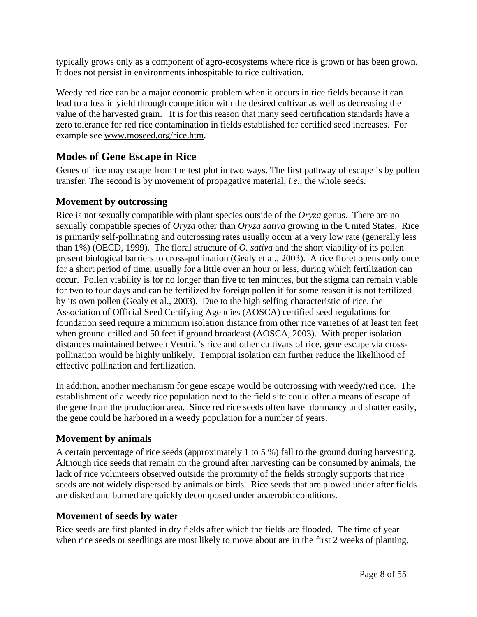typically grows only as a component of agro-ecosystems where rice is grown or has been grown. It does not persist in environments inhospitable to rice cultivation.

Weedy red rice can be a major economic problem when it occurs in rice fields because it can lead to a loss in yield through competition with the desired cultivar as well as decreasing the value of the harvested grain. It is for this reason that many seed certification standards have a zero tolerance for red rice contamination in fields established for certified seed increases. For example see www.moseed.org/rice.htm.

### **Modes of Gene Escape in Rice**

Genes of rice may escape from the test plot in two ways. The first pathway of escape is by pollen transfer. The second is by movement of propagative material, *i.e*., the whole seeds.

### **Movement by outcrossing**

Rice is not sexually compatible with plant species outside of the *Oryza* genus. There are no sexually compatible species of *Oryza* other than *Oryza sativa* growing in the United States. Rice is primarily self-pollinating and outcrossing rates usually occur at a very low rate (generally less than 1%) (OECD, 1999). The floral structure of *O. sativa* and the short viability of its pollen present biological barriers to cross-pollination (Gealy et al., 2003). A rice floret opens only once for a short period of time, usually for a little over an hour or less, during which fertilization can occur. Pollen viability is for no longer than five to ten minutes, but the stigma can remain viable for two to four days and can be fertilized by foreign pollen if for some reason it is not fertilized by its own pollen (Gealy et al., 2003). Due to the high selfing characteristic of rice, the Association of Official Seed Certifying Agencies (AOSCA) certified seed regulations for foundation seed require a minimum isolation distance from other rice varieties of at least ten feet when ground drilled and 50 feet if ground broadcast (AOSCA, 2003). With proper isolation distances maintained between Ventria's rice and other cultivars of rice, gene escape via crosspollination would be highly unlikely. Temporal isolation can further reduce the likelihood of effective pollination and fertilization.

In addition, another mechanism for gene escape would be outcrossing with weedy/red rice. The establishment of a weedy rice population next to the field site could offer a means of escape of the gene from the production area. Since red rice seeds often have dormancy and shatter easily, the gene could be harbored in a weedy population for a number of years.

### **Movement by animals**

A certain percentage of rice seeds (approximately 1 to 5 %) fall to the ground during harvesting. Although rice seeds that remain on the ground after harvesting can be consumed by animals, the lack of rice volunteers observed outside the proximity of the fields strongly supports that rice seeds are not widely dispersed by animals or birds. Rice seeds that are plowed under after fields are disked and burned are quickly decomposed under anaerobic conditions.

### **Movement of seeds by water**

Rice seeds are first planted in dry fields after which the fields are flooded. The time of year when rice seeds or seedlings are most likely to move about are in the first 2 weeks of planting,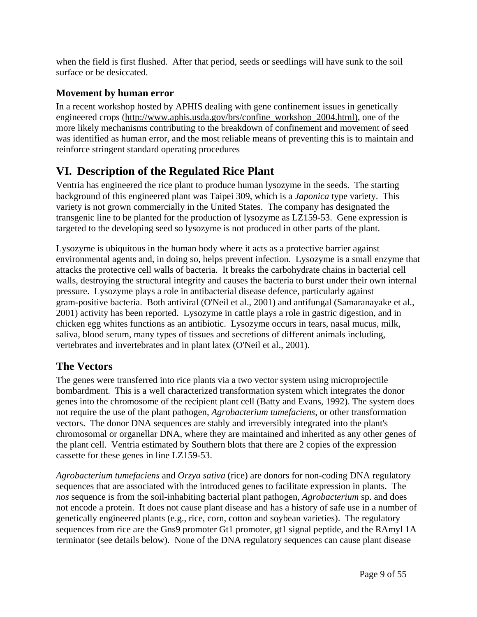when the field is first flushed. After that period, seeds or seedlings will have sunk to the soil surface or be desiccated.

## **Movement by human error**

In a recent workshop hosted by APHIS dealing with gene confinement issues in genetically engineered crops (http://www.aphis.usda.gov/brs/confine\_workshop\_2004.html), one of the more likely mechanisms contributing to the breakdown of confinement and movement of seed was identified as human error, and the most reliable means of preventing this is to maintain and reinforce stringent standard operating procedures

# **VI. Description of the Regulated Rice Plant**

Ventria has engineered the rice plant to produce human lysozyme in the seeds. The starting background of this engineered plant was Taipei 309, which is a *Japonica* type variety. This variety is not grown commercially in the United States. The company has designated the transgenic line to be planted for the production of lysozyme as LZ159-53. Gene expression is targeted to the developing seed so lysozyme is not produced in other parts of the plant.

Lysozyme is ubiquitous in the human body where it acts as a protective barrier against environmental agents and, in doing so, helps prevent infection. Lysozyme is a small enzyme that attacks the protective cell walls of bacteria. It breaks the carbohydrate chains in bacterial cell walls, destroying the structural integrity and causes the bacteria to burst under their own internal pressure. Lysozyme plays a role in antibacterial disease defence, particularly against gram-positive bacteria. Both antiviral (O'Neil et al., 2001) and antifungal (Samaranayake et al., 2001) activity has been reported. Lysozyme in cattle plays a role in gastric digestion, and in chicken egg whites functions as an antibiotic. Lysozyme occurs in tears, nasal mucus, milk, saliva, blood serum, many types of tissues and secretions of different animals including, vertebrates and invertebrates and in plant latex (O'Neil et al., 2001).

## **The Vectors**

The genes were transferred into rice plants via a two vector system using microprojectile bombardment. This is a well characterized transformation system which integrates the donor genes into the chromosome of the recipient plant cell (Batty and Evans, 1992). The system does not require the use of the plant pathogen, *Agrobacterium tumefaciens*, or other transformation vectors. The donor DNA sequences are stably and irreversibly integrated into the plant's chromosomal or organellar DNA, where they are maintained and inherited as any other genes of the plant cell. Ventria estimated by Southern blots that there are 2 copies of the expression cassette for these genes in line LZ159-53.

*Agrobacterium tumefaciens* and *Orzya sativa* (rice) are donors for non-coding DNA regulatory sequences that are associated with the introduced genes to facilitate expression in plants. The *nos* sequence is from the soil-inhabiting bacterial plant pathogen, *Agrobacterium* sp. and does not encode a protein. It does not cause plant disease and has a history of safe use in a number of genetically engineered plants (e.g., rice, corn, cotton and soybean varieties). The regulatory sequences from rice are the Gns9 promoter Gt1 promoter, gt1 signal peptide, and the RAmyl 1A terminator (see details below). None of the DNA regulatory sequences can cause plant disease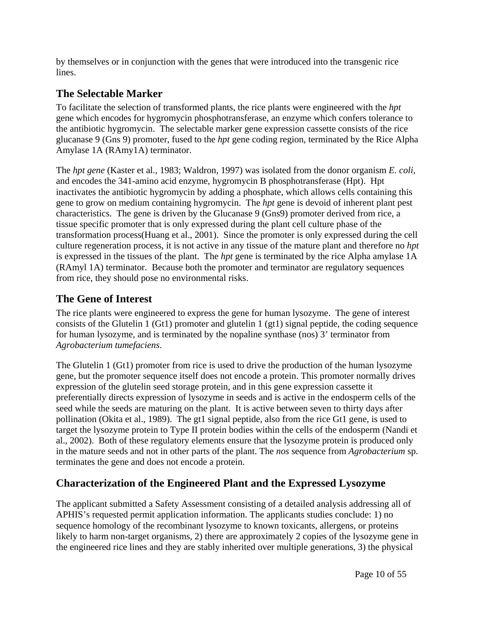by themselves or in conjunction with the genes that were introduced into the transgenic rice lines.

## **The Selectable Marker**

To facilitate the selection of transformed plants, the rice plants were engineered with the *hpt* gene which encodes for hygromycin phosphotransferase, an enzyme which confers tolerance to the antibiotic hygromycin. The selectable marker gene expression cassette consists of the rice glucanase 9 (Gns 9) promoter, fused to the *hpt* gene coding region, terminated by the Rice Alpha Amylase 1A (RAmy1A) terminator.

The *hpt gene* (Kaster et al., 1983; Waldron, 1997) was isolated from the donor organism *E. coli,* and encodes the 341-amino acid enzyme, hygromycin B phosphotransferase (Hpt). Hpt inactivates the antibiotic hygromycin by adding a phosphate, which allows cells containing this gene to grow on medium containing hygromycin. The *hpt* gene is devoid of inherent plant pest characteristics. The gene is driven by the Glucanase 9 (Gns9) promoter derived from rice, a tissue specific promoter that is only expressed during the plant cell culture phase of the transformation process(Huang et al., 2001). Since the promoter is only expressed during the cell culture regeneration process, it is not active in any tissue of the mature plant and therefore no *hpt* is expressed in the tissues of the plant. The *hpt* gene is terminated by the rice Alpha amylase 1A (RAmyl 1A) terminator. Because both the promoter and terminator are regulatory sequences from rice, they should pose no environmental risks.

## **The Gene of Interest**

The rice plants were engineered to express the gene for human lysozyme. The gene of interest consists of the Glutelin 1 (Gt1) promoter and glutelin 1 (gt1) signal peptide, the coding sequence for human lysozyme, and is terminated by the nopaline synthase (nos) 3' terminator from *Agrobacterium tumefaciens*.

The Glutelin 1 (Gt1) promoter from rice is used to drive the production of the human lysozyme gene, but the promoter sequence itself does not encode a protein. This promoter normally drives expression of the glutelin seed storage protein, and in this gene expression cassette it preferentially directs expression of lysozyme in seeds and is active in the endosperm cells of the seed while the seeds are maturing on the plant. It is active between seven to thirty days after pollination (Okita et al., 1989). The gt1 signal peptide, also from the rice Gt1 gene, is used to target the lysozyme protein to Type II protein bodies within the cells of the endosperm (Nandi et al., 2002). Both of these regulatory elements ensure that the lysozyme protein is produced only in the mature seeds and not in other parts of the plant. The *nos* sequence from *Agrobacterium* sp. terminates the gene and does not encode a protein.

## **Characterization of the Engineered Plant and the Expressed Lysozyme**

The applicant submitted a Safety Assessment consisting of a detailed analysis addressing all of APHIS's requested permit application information. The applicants studies conclude: 1) no sequence homology of the recombinant lysozyme to known toxicants, allergens, or proteins likely to harm non-target organisms, 2) there are approximately 2 copies of the lysozyme gene in the engineered rice lines and they are stably inherited over multiple generations, 3) the physical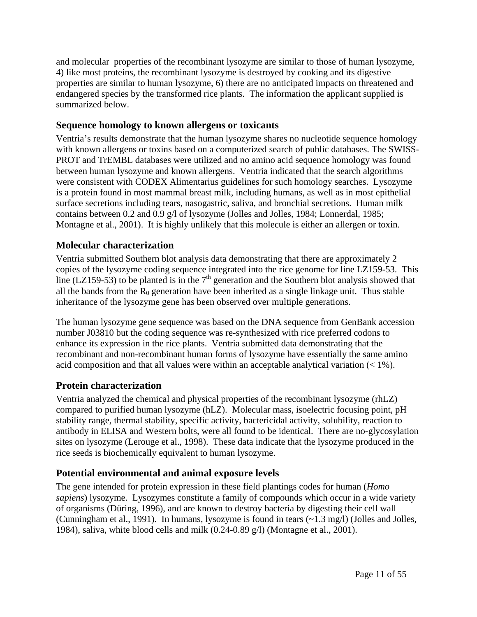and molecular properties of the recombinant lysozyme are similar to those of human lysozyme, 4) like most proteins, the recombinant lysozyme is destroyed by cooking and its digestive properties are similar to human lysozyme, 6) there are no anticipated impacts on threatened and endangered species by the transformed rice plants. The information the applicant supplied is summarized below.

### **Sequence homology to known allergens or toxicants**

Ventria's results demonstrate that the human lysozyme shares no nucleotide sequence homology with known allergens or toxins based on a computerized search of public databases. The SWISS-PROT and TrEMBL databases were utilized and no amino acid sequence homology was found between human lysozyme and known allergens. Ventria indicated that the search algorithms were consistent with CODEX Alimentarius guidelines for such homology searches. Lysozyme is a protein found in most mammal breast milk, including humans, as well as in most epithelial surface secretions including tears, nasogastric, saliva, and bronchial secretions. Human milk contains between 0.2 and 0.9 g/l of lysozyme (Jolles and Jolles, 1984; Lonnerdal, 1985; Montagne et al., 2001). It is highly unlikely that this molecule is either an allergen or toxin.

### **Molecular characterization**

Ventria submitted Southern blot analysis data demonstrating that there are approximately 2 copies of the lysozyme coding sequence integrated into the rice genome for line LZ159-53. This line (LZ159-53) to be planted is in the  $7<sup>th</sup>$  generation and the Southern blot analysis showed that all the bands from the  $R_0$  generation have been inherited as a single linkage unit. Thus stable inheritance of the lysozyme gene has been observed over multiple generations.

The human lysozyme gene sequence was based on the DNA sequence from GenBank accession number J03810 but the coding sequence was re-synthesized with rice preferred codons to enhance its expression in the rice plants. Ventria submitted data demonstrating that the recombinant and non-recombinant human forms of lysozyme have essentially the same amino acid composition and that all values were within an acceptable analytical variation  $\left($  < 1%).

### **Protein characterization**

Ventria analyzed the chemical and physical properties of the recombinant lysozyme (rhLZ) compared to purified human lysozyme (hLZ). Molecular mass, isoelectric focusing point, pH stability range, thermal stability, specific activity, bactericidal activity, solubility, reaction to antibody in ELISA and Western bolts, were all found to be identical. There are no-glycosylation sites on lysozyme (Lerouge et al., 1998). These data indicate that the lysozyme produced in the rice seeds is biochemically equivalent to human lysozyme.

### **Potential environmental and animal exposure levels**

The gene intended for protein expression in these field plantings codes for human (*Homo sapiens*) lysozyme. Lysozymes constitute a family of compounds which occur in a wide variety of organisms (Düring, 1996), and are known to destroy bacteria by digesting their cell wall (Cunningham et al., 1991). In humans, lysozyme is found in tears (~1.3 mg/l) (Jolles and Jolles, 1984), saliva, white blood cells and milk (0.24-0.89 g/l) (Montagne et al., 2001).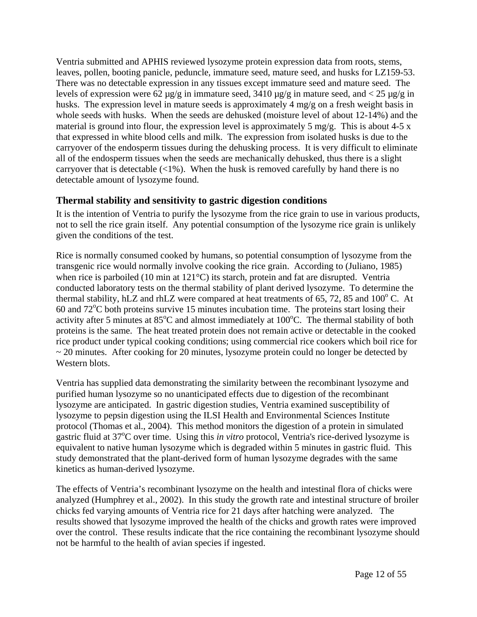Ventria submitted and APHIS reviewed lysozyme protein expression data from roots, stems, leaves, pollen, booting panicle, peduncle, immature seed, mature seed, and husks for LZ159-53. There was no detectable expression in any tissues except immature seed and mature seed. The levels of expression were 62  $\mu$ g/g in immature seed, 3410  $\mu$ g/g in mature seed, and < 25  $\mu$ g/g in husks. The expression level in mature seeds is approximately 4 mg/g on a fresh weight basis in whole seeds with husks. When the seeds are dehusked (moisture level of about 12-14%) and the material is ground into flour, the expression level is approximately 5 mg/g. This is about 4-5 x that expressed in white blood cells and milk. The expression from isolated husks is due to the carryover of the endosperm tissues during the dehusking process. It is very difficult to eliminate all of the endosperm tissues when the seeds are mechanically dehusked, thus there is a slight carryover that is detectable  $\langle 1\% \rangle$ . When the husk is removed carefully by hand there is no detectable amount of lysozyme found.

### **Thermal stability and sensitivity to gastric digestion conditions**

It is the intention of Ventria to purify the lysozyme from the rice grain to use in various products, not to sell the rice grain itself. Any potential consumption of the lysozyme rice grain is unlikely given the conditions of the test.

Rice is normally consumed cooked by humans, so potential consumption of lysozyme from the transgenic rice would normally involve cooking the rice grain. According to (Juliano, 1985) when rice is parboiled (10 min at 121°C) its starch, protein and fat are disrupted. Ventria conducted laboratory tests on the thermal stability of plant derived lysozyme. To determine the thermal stability, hLZ and rhLZ were compared at heat treatments of  $65$ ,  $72$ ,  $85$  and  $100^{\circ}$  C. At 60 and 72°C both proteins survive 15 minutes incubation time. The proteins start losing their activity after 5 minutes at 85°C and almost immediately at 100°C. The thermal stability of both proteins is the same. The heat treated protein does not remain active or detectable in the cooked rice product under typical cooking conditions; using commercial rice cookers which boil rice for  $\sim$  20 minutes. After cooking for 20 minutes, lysozyme protein could no longer be detected by Western blots.

Ventria has supplied data demonstrating the similarity between the recombinant lysozyme and purified human lysozyme so no unanticipated effects due to digestion of the recombinant lysozyme are anticipated. In gastric digestion studies, Ventria examined susceptibility of lysozyme to pepsin digestion using the ILSI Health and Environmental Sciences Institute protocol (Thomas et al., 2004). This method monitors the digestion of a protein in simulated gastric fluid at 37<sup>o</sup>C over time. Using this *in vitro* protocol, Ventria's rice-derived lysozyme is equivalent to native human lysozyme which is degraded within 5 minutes in gastric fluid. This study demonstrated that the plant-derived form of human lysozyme degrades with the same kinetics as human-derived lysozyme.

The effects of Ventria's recombinant lysozyme on the health and intestinal flora of chicks were analyzed (Humphrey et al., 2002). In this study the growth rate and intestinal structure of broiler chicks fed varying amounts of Ventria rice for 21 days after hatching were analyzed. The results showed that lysozyme improved the health of the chicks and growth rates were improved over the control. These results indicate that the rice containing the recombinant lysozyme should not be harmful to the health of avian species if ingested.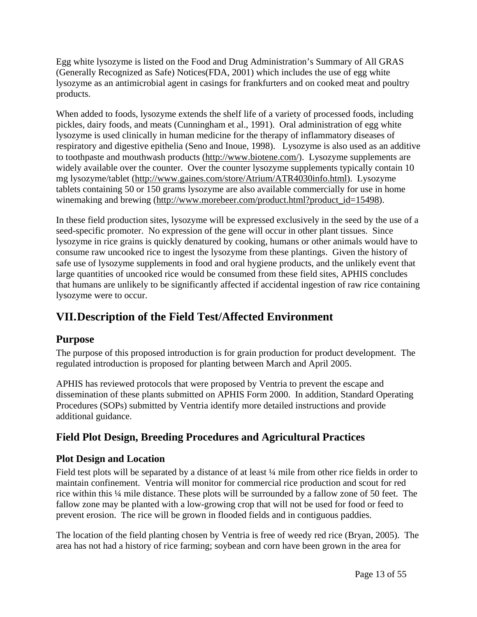Egg white lysozyme is listed on the Food and Drug Administration's Summary of All GRAS (Generally Recognized as Safe) Notices(FDA, 2001) which includes the use of egg white lysozyme as an antimicrobial agent in casings for frankfurters and on cooked meat and poultry products.

When added to foods, lysozyme extends the shelf life of a variety of processed foods, including pickles, dairy foods, and meats (Cunningham et al., 1991). Oral administration of egg white lysozyme is used clinically in human medicine for the therapy of inflammatory diseases of respiratory and digestive epithelia (Seno and Inoue, 1998). Lysozyme is also used as an additive to toothpaste and mouthwash products (http://www.biotene.com/). Lysozyme supplements are widely available over the counter. Over the counter lysozyme supplements typically contain 10 mg lysozyme/tablet (http://www.gaines.com/store/Atrium/ATR4030info.html). Lysozyme tablets containing 50 or 150 grams lysozyme are also available commercially for use in home winemaking and brewing (http://www.morebeer.com/product.html?product\_id=15498).

In these field production sites, lysozyme will be expressed exclusively in the seed by the use of a seed-specific promoter. No expression of the gene will occur in other plant tissues. Since lysozyme in rice grains is quickly denatured by cooking, humans or other animals would have to consume raw uncooked rice to ingest the lysozyme from these plantings. Given the history of safe use of lysozyme supplements in food and oral hygiene products, and the unlikely event that large quantities of uncooked rice would be consumed from these field sites, APHIS concludes that humans are unlikely to be significantly affected if accidental ingestion of raw rice containing lysozyme were to occur.

# **VII. Description of the Field Test/Affected Environment**

## **Purpose**

The purpose of this proposed introduction is for grain production for product development. The regulated introduction is proposed for planting between March and April 2005.

APHIS has reviewed protocols that were proposed by Ventria to prevent the escape and dissemination of these plants submitted on APHIS Form 2000. In addition, Standard Operating Procedures (SOPs) submitted by Ventria identify more detailed instructions and provide additional guidance.

## **Field Plot Design, Breeding Procedures and Agricultural Practices**

## **Plot Design and Location**

Field test plots will be separated by a distance of at least  $\frac{1}{4}$  mile from other rice fields in order to maintain confinement. Ventria will monitor for commercial rice production and scout for red rice within this ¼ mile distance. These plots will be surrounded by a fallow zone of 50 feet. The fallow zone may be planted with a low-growing crop that will not be used for food or feed to prevent erosion. The rice will be grown in flooded fields and in contiguous paddies.

The location of the field planting chosen by Ventria is free of weedy red rice (Bryan, 2005). The area has not had a history of rice farming; soybean and corn have been grown in the area for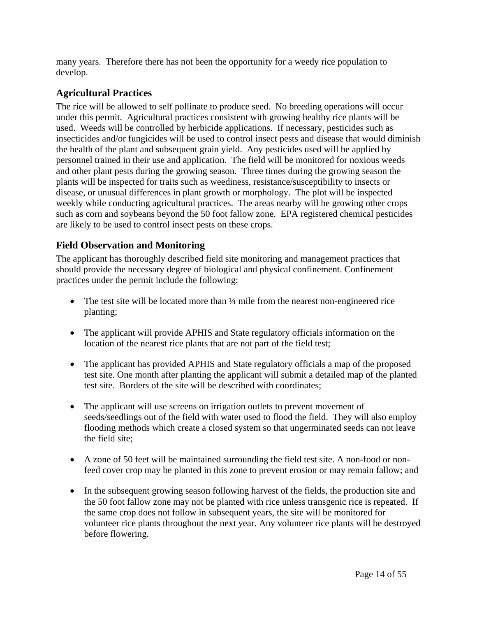many years. Therefore there has not been the opportunity for a weedy rice population to develop.

## **Agricultural Practices**

The rice will be allowed to self pollinate to produce seed. No breeding operations will occur under this permit. Agricultural practices consistent with growing healthy rice plants will be used. Weeds will be controlled by herbicide applications. If necessary, pesticides such as insecticides and/or fungicides will be used to control insect pests and disease that would diminish the health of the plant and subsequent grain yield. Any pesticides used will be applied by personnel trained in their use and application. The field will be monitored for noxious weeds and other plant pests during the growing season. Three times during the growing season the plants will be inspected for traits such as weediness, resistance/susceptibility to insects or disease, or unusual differences in plant growth or morphology. The plot will be inspected weekly while conducting agricultural practices. The areas nearby will be growing other crops such as corn and soybeans beyond the 50 foot fallow zone. EPA registered chemical pesticides are likely to be used to control insect pests on these crops.

### **Field Observation and Monitoring**

The applicant has thoroughly described field site monitoring and management practices that should provide the necessary degree of biological and physical confinement. Confinement practices under the permit include the following:

- The test site will be located more than  $\frac{1}{4}$  mile from the nearest non-engineered rice planting;
- The applicant will provide APHIS and State regulatory officials information on the location of the nearest rice plants that are not part of the field test;
- The applicant has provided APHIS and State regulatory officials a map of the proposed test site. One month after planting the applicant will submit a detailed map of the planted test site. Borders of the site will be described with coordinates;
- The applicant will use screens on irrigation outlets to prevent movement of seeds/seedlings out of the field with water used to flood the field. They will also employ flooding methods which create a closed system so that ungerminated seeds can not leave the field site;
- A zone of 50 feet will be maintained surrounding the field test site. A non-food or nonfeed cover crop may be planted in this zone to prevent erosion or may remain fallow; and
- In the subsequent growing season following harvest of the fields, the production site and the 50 foot fallow zone may not be planted with rice unless transgenic rice is repeated. If the same crop does not follow in subsequent years, the site will be monitored for volunteer rice plants throughout the next year. Any volunteer rice plants will be destroyed before flowering.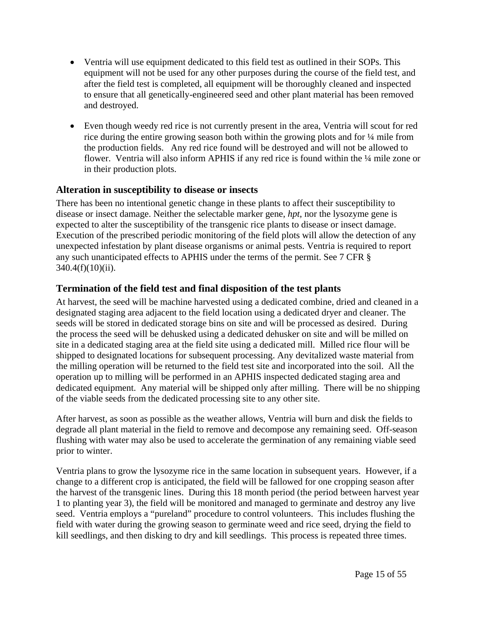- Ventria will use equipment dedicated to this field test as outlined in their SOPs. This equipment will not be used for any other purposes during the course of the field test, and after the field test is completed, all equipment will be thoroughly cleaned and inspected to ensure that all genetically-engineered seed and other plant material has been removed and destroyed.
- Even though weedy red rice is not currently present in the area, Ventria will scout for red rice during the entire growing season both within the growing plots and for ¼ mile from the production fields. Any red rice found will be destroyed and will not be allowed to flower. Ventria will also inform APHIS if any red rice is found within the  $\frac{1}{4}$  mile zone or in their production plots.

### **Alteration in susceptibility to disease or insects**

There has been no intentional genetic change in these plants to affect their susceptibility to disease or insect damage. Neither the selectable marker gene, *hpt*, nor the lysozyme gene is expected to alter the susceptibility of the transgenic rice plants to disease or insect damage. Execution of the prescribed periodic monitoring of the field plots will allow the detection of any unexpected infestation by plant disease organisms or animal pests. Ventria is required to report any such unanticipated effects to APHIS under the terms of the permit. See 7 CFR § 340.4(f)(10)(ii).

## **Termination of the field test and final disposition of the test plants**

At harvest, the seed will be machine harvested using a dedicated combine, dried and cleaned in a designated staging area adjacent to the field location using a dedicated dryer and cleaner. The seeds will be stored in dedicated storage bins on site and will be processed as desired. During the process the seed will be dehusked using a dedicated dehusker on site and will be milled on site in a dedicated staging area at the field site using a dedicated mill. Milled rice flour will be shipped to designated locations for subsequent processing. Any devitalized waste material from the milling operation will be returned to the field test site and incorporated into the soil. All the operation up to milling will be performed in an APHIS inspected dedicated staging area and dedicated equipment. Any material will be shipped only after milling. There will be no shipping of the viable seeds from the dedicated processing site to any other site.

After harvest, as soon as possible as the weather allows, Ventria will burn and disk the fields to degrade all plant material in the field to remove and decompose any remaining seed. Off-season flushing with water may also be used to accelerate the germination of any remaining viable seed prior to winter.

Ventria plans to grow the lysozyme rice in the same location in subsequent years. However, if a change to a different crop is anticipated, the field will be fallowed for one cropping season after the harvest of the transgenic lines. During this 18 month period (the period between harvest year 1 to planting year 3), the field will be monitored and managed to germinate and destroy any live seed. Ventria employs a "pureland" procedure to control volunteers. This includes flushing the field with water during the growing season to germinate weed and rice seed, drying the field to kill seedlings, and then disking to dry and kill seedlings. This process is repeated three times.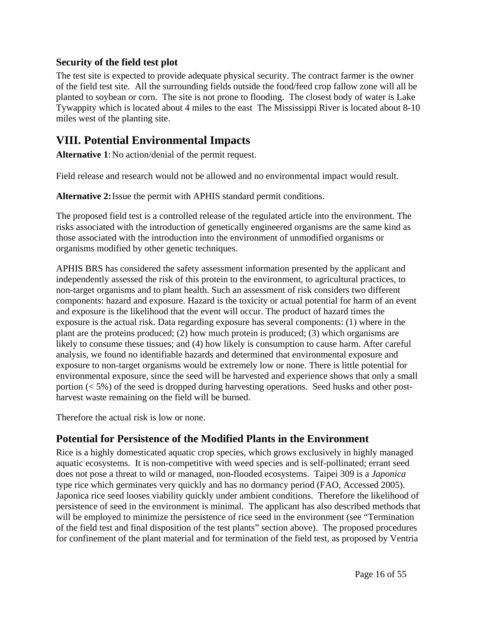### **Security of the field test plot**

The test site is expected to provide adequate physical security. The contract farmer is the owner of the field test site. All the surrounding fields outside the food/feed crop fallow zone will all be planted to soybean or corn. The site is not prone to flooding. The closest body of water is Lake Tywappity which is located about 4 miles to the east The Mississippi River is located about 8-10 miles west of the planting site.

## **VIII. Potential Environmental Impacts**

**Alternative 1**: No action/denial of the permit request.

Field release and research would not be allowed and no environmental impact would result.

**Alternative 2:** Issue the permit with APHIS standard permit conditions.

The proposed field test is a controlled release of the regulated article into the environment. The risks associated with the introduction of genetically engineered organisms are the same kind as those associated with the introduction into the environment of unmodified organisms or organisms modified by other genetic techniques.

APHIS BRS has considered the safety assessment information presented by the applicant and independently assessed the risk of this protein to the environment, to agricultural practices, to non-target organisms and to plant health. Such an assessment of risk considers two different components: hazard and exposure. Hazard is the toxicity or actual potential for harm of an event and exposure is the likelihood that the event will occur. The product of hazard times the exposure is the actual risk. Data regarding exposure has several components: (1) where in the plant are the proteins produced; (2) how much protein is produced; (3) which organisms are likely to consume these tissues; and (4) how likely is consumption to cause harm. After careful analysis, we found no identifiable hazards and determined that environmental exposure and exposure to non-target organisms would be extremely low or none. There is little potential for environmental exposure, since the seed will be harvested and experience shows that only a small portion (< 5%) of the seed is dropped during harvesting operations. Seed husks and other postharvest waste remaining on the field will be burned.

Therefore the actual risk is low or none.

## **Potential for Persistence of the Modified Plants in the Environment**

Rice is a highly domesticated aquatic crop species, which grows exclusively in highly managed aquatic ecosystems. It is non-competitive with weed species and is self-pollinated; errant seed does not pose a threat to wild or managed, non-flooded ecosystems. Taipei 309 is a *Japonica*  type rice which germinates very quickly and has no dormancy period (FAO, Accessed 2005). Japonica rice seed looses viability quickly under ambient conditions. Therefore the likelihood of persistence of seed in the environment is minimal. The applicant has also described methods that will be employed to minimize the persistence of rice seed in the environment (see "Termination") of the field test and final disposition of the test plants" section above). The proposed procedures for confinement of the plant material and for termination of the field test, as proposed by Ventria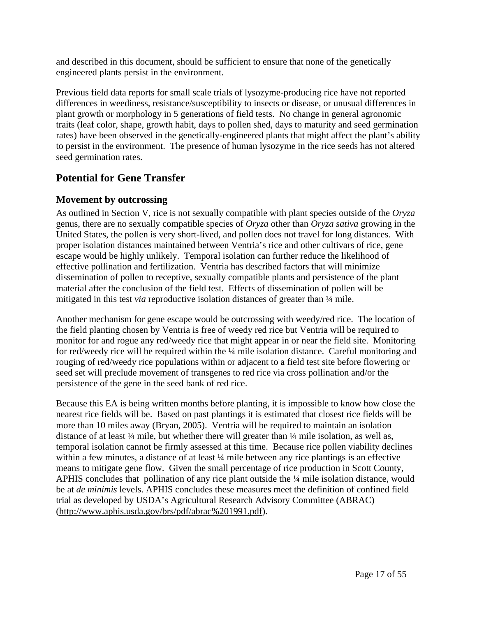and described in this document, should be sufficient to ensure that none of the genetically engineered plants persist in the environment.

Previous field data reports for small scale trials of lysozyme-producing rice have not reported differences in weediness, resistance/susceptibility to insects or disease, or unusual differences in plant growth or morphology in 5 generations of field tests. No change in general agronomic traits (leaf color, shape, growth habit, days to pollen shed, days to maturity and seed germination rates) have been observed in the genetically-engineered plants that might affect the plant's ability to persist in the environment. The presence of human lysozyme in the rice seeds has not altered seed germination rates.

## **Potential for Gene Transfer**

### **Movement by outcrossing**

As outlined in Section V, rice is not sexually compatible with plant species outside of the *Oryza*  genus, there are no sexually compatible species of *Oryza* other than *Oryza sativa* growing in the United States, the pollen is very short-lived, and pollen does not travel for long distances. With proper isolation distances maintained between Ventria's rice and other cultivars of rice, gene escape would be highly unlikely. Temporal isolation can further reduce the likelihood of effective pollination and fertilization. Ventria has described factors that will minimize dissemination of pollen to receptive, sexually compatible plants and persistence of the plant material after the conclusion of the field test. Effects of dissemination of pollen will be mitigated in this test *via* reproductive isolation distances of greater than ¼ mile.

Another mechanism for gene escape would be outcrossing with weedy/red rice. The location of the field planting chosen by Ventria is free of weedy red rice but Ventria will be required to monitor for and rogue any red/weedy rice that might appear in or near the field site. Monitoring for red/weedy rice will be required within the ¼ mile isolation distance. Careful monitoring and rouging of red/weedy rice populations within or adjacent to a field test site before flowering or seed set will preclude movement of transgenes to red rice via cross pollination and/or the persistence of the gene in the seed bank of red rice.

Because this EA is being written months before planting, it is impossible to know how close the nearest rice fields will be. Based on past plantings it is estimated that closest rice fields will be more than 10 miles away (Bryan, 2005). Ventria will be required to maintain an isolation distance of at least  $\frac{1}{4}$  mile, but whether there will greater than  $\frac{1}{4}$  mile isolation, as well as, temporal isolation cannot be firmly assessed at this time. Because rice pollen viability declines within a few minutes, a distance of at least  $\frac{1}{4}$  mile between any rice plantings is an effective means to mitigate gene flow. Given the small percentage of rice production in Scott County, APHIS concludes that pollination of any rice plant outside the ¼ mile isolation distance, would be at *de minimis* levels. APHIS concludes these measures meet the definition of confined field trial as developed by USDA's Agricultural Research Advisory Committee (ABRAC) (http://www.aphis.usda.gov/brs/pdf/abrac%201991.pdf).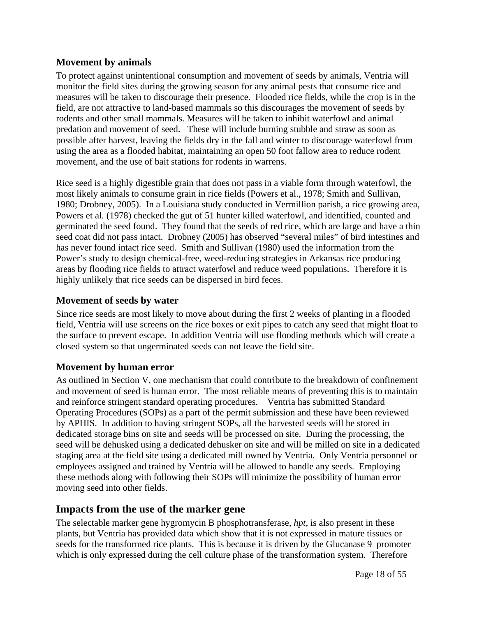### **Movement by animals**

To protect against unintentional consumption and movement of seeds by animals, Ventria will monitor the field sites during the growing season for any animal pests that consume rice and measures will be taken to discourage their presence. Flooded rice fields, while the crop is in the field, are not attractive to land-based mammals so this discourages the movement of seeds by rodents and other small mammals. Measures will be taken to inhibit waterfowl and animal predation and movement of seed. These will include burning stubble and straw as soon as possible after harvest, leaving the fields dry in the fall and winter to discourage waterfowl from using the area as a flooded habitat, maintaining an open 50 foot fallow area to reduce rodent movement, and the use of bait stations for rodents in warrens.

Rice seed is a highly digestible grain that does not pass in a viable form through waterfowl, the most likely animals to consume grain in rice fields (Powers et al., 1978; Smith and Sullivan, 1980; Drobney, 2005). In a Louisiana study conducted in Vermillion parish, a rice growing area, Powers et al. (1978) checked the gut of 51 hunter killed waterfowl, and identified, counted and germinated the seed found. They found that the seeds of red rice, which are large and have a thin seed coat did not pass intact. Drobney (2005) has observed "several miles" of bird intestines and has never found intact rice seed. Smith and Sullivan (1980) used the information from the Power's study to design chemical-free, weed-reducing strategies in Arkansas rice producing areas by flooding rice fields to attract waterfowl and reduce weed populations. Therefore it is highly unlikely that rice seeds can be dispersed in bird feces.

### **Movement of seeds by water**

Since rice seeds are most likely to move about during the first 2 weeks of planting in a flooded field, Ventria will use screens on the rice boxes or exit pipes to catch any seed that might float to the surface to prevent escape. In addition Ventria will use flooding methods which will create a closed system so that ungerminated seeds can not leave the field site.

### **Movement by human error**

As outlined in Section V, one mechanism that could contribute to the breakdown of confinement and movement of seed is human error. The most reliable means of preventing this is to maintain and reinforce stringent standard operating procedures. Ventria has submitted Standard Operating Procedures (SOPs) as a part of the permit submission and these have been reviewed by APHIS. In addition to having stringent SOPs, all the harvested seeds will be stored in dedicated storage bins on site and seeds will be processed on site. During the processing, the seed will be dehusked using a dedicated dehusker on site and will be milled on site in a dedicated staging area at the field site using a dedicated mill owned by Ventria. Only Ventria personnel or employees assigned and trained by Ventria will be allowed to handle any seeds. Employing these methods along with following their SOPs will minimize the possibility of human error moving seed into other fields.

### **Impacts from the use of the marker gene**

The selectable marker gene hygromycin B phosphotransferase, *hpt*, is also present in these plants, but Ventria has provided data which show that it is not expressed in mature tissues or seeds for the transformed rice plants. This is because it is driven by the Glucanase 9 promoter which is only expressed during the cell culture phase of the transformation system. Therefore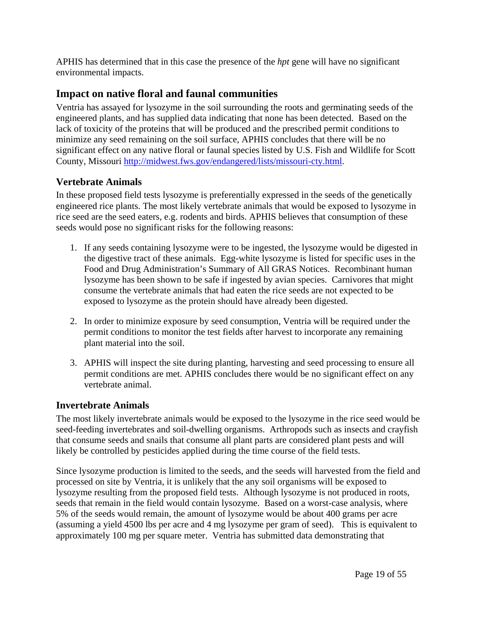APHIS has determined that in this case the presence of the *hpt* gene will have no significant environmental impacts.

## **Impact on native floral and faunal communities**

Ventria has assayed for lysozyme in the soil surrounding the roots and germinating seeds of the engineered plants, and has supplied data indicating that none has been detected. Based on the lack of toxicity of the proteins that will be produced and the prescribed permit conditions to minimize any seed remaining on the soil surface, APHIS concludes that there will be no significant effect on any native floral or faunal species listed by U.S. Fish and Wildlife for Scott County, Missouri http://midwest.fws.gov/endangered/lists/missouri-cty.html.

### **Vertebrate Animals**

In these proposed field tests lysozyme is preferentially expressed in the seeds of the genetically engineered rice plants. The most likely vertebrate animals that would be exposed to lysozyme in rice seed are the seed eaters, e.g. rodents and birds. APHIS believes that consumption of these seeds would pose no significant risks for the following reasons:

- 1. If any seeds containing lysozyme were to be ingested, the lysozyme would be digested in the digestive tract of these animals. Egg-white lysozyme is listed for specific uses in the Food and Drug Administration's Summary of All GRAS Notices. Recombinant human lysozyme has been shown to be safe if ingested by avian species. Carnivores that might consume the vertebrate animals that had eaten the rice seeds are not expected to be exposed to lysozyme as the protein should have already been digested.
- 2. In order to minimize exposure by seed consumption, Ventria will be required under the permit conditions to monitor the test fields after harvest to incorporate any remaining plant material into the soil.
- 3. APHIS will inspect the site during planting, harvesting and seed processing to ensure all permit conditions are met. APHIS concludes there would be no significant effect on any vertebrate animal.

#### **Invertebrate Animals**

The most likely invertebrate animals would be exposed to the lysozyme in the rice seed would be seed-feeding invertebrates and soil-dwelling organisms. Arthropods such as insects and crayfish that consume seeds and snails that consume all plant parts are considered plant pests and will likely be controlled by pesticides applied during the time course of the field tests.

Since lysozyme production is limited to the seeds, and the seeds will harvested from the field and processed on site by Ventria, it is unlikely that the any soil organisms will be exposed to lysozyme resulting from the proposed field tests. Although lysozyme is not produced in roots, seeds that remain in the field would contain lysozyme. Based on a worst-case analysis, where 5% of the seeds would remain, the amount of lysozyme would be about 400 grams per acre (assuming a yield 4500 lbs per acre and 4 mg lysozyme per gram of seed). This is equivalent to approximately 100 mg per square meter. Ventria has submitted data demonstrating that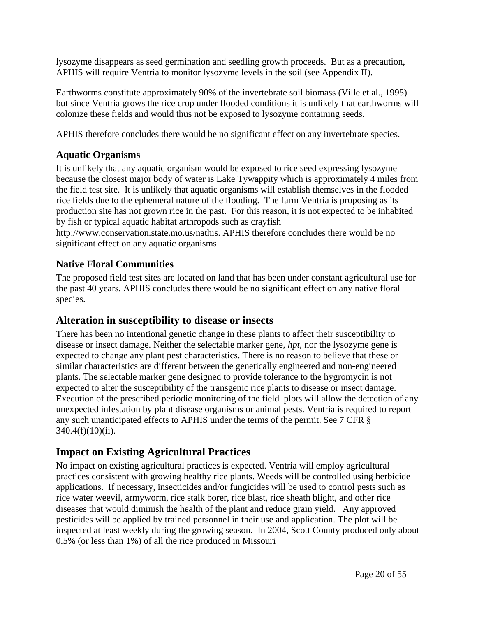lysozyme disappears as seed germination and seedling growth proceeds. But as a precaution, APHIS will require Ventria to monitor lysozyme levels in the soil (see Appendix II).

Earthworms constitute approximately 90% of the invertebrate soil biomass (Ville et al., 1995) but since Ventria grows the rice crop under flooded conditions it is unlikely that earthworms will colonize these fields and would thus not be exposed to lysozyme containing seeds.

APHIS therefore concludes there would be no significant effect on any invertebrate species.

### **Aquatic Organisms**

It is unlikely that any aquatic organism would be exposed to rice seed expressing lysozyme because the closest major body of water is Lake Tywappity which is approximately 4 miles from the field test site. It is unlikely that aquatic organisms will establish themselves in the flooded rice fields due to the ephemeral nature of the flooding. The farm Ventria is proposing as its production site has not grown rice in the past. For this reason, it is not expected to be inhabited by fish or typical aquatic habitat arthropods such as crayfish

http://www.conservation.state.mo.us/nathis. APHIS therefore concludes there would be no significant effect on any aquatic organisms.

### **Native Floral Communities**

The proposed field test sites are located on land that has been under constant agricultural use for the past 40 years. APHIS concludes there would be no significant effect on any native floral species.

## **Alteration in susceptibility to disease or insects**

There has been no intentional genetic change in these plants to affect their susceptibility to disease or insect damage. Neither the selectable marker gene, *hpt*, nor the lysozyme gene is expected to change any plant pest characteristics. There is no reason to believe that these or similar characteristics are different between the genetically engineered and non-engineered plants. The selectable marker gene designed to provide tolerance to the hygromycin is not expected to alter the susceptibility of the transgenic rice plants to disease or insect damage. Execution of the prescribed periodic monitoring of the field plots will allow the detection of any unexpected infestation by plant disease organisms or animal pests. Ventria is required to report any such unanticipated effects to APHIS under the terms of the permit. See 7 CFR § 340.4(f)(10)(ii).

## **Impact on Existing Agricultural Practices**

No impact on existing agricultural practices is expected. Ventria will employ agricultural practices consistent with growing healthy rice plants. Weeds will be controlled using herbicide applications. If necessary, insecticides and/or fungicides will be used to control pests such as rice water weevil, armyworm, rice stalk borer, rice blast, rice sheath blight, and other rice diseases that would diminish the health of the plant and reduce grain yield. Any approved pesticides will be applied by trained personnel in their use and application. The plot will be inspected at least weekly during the growing season. In 2004, Scott County produced only about 0.5% (or less than 1%) of all the rice produced in Missouri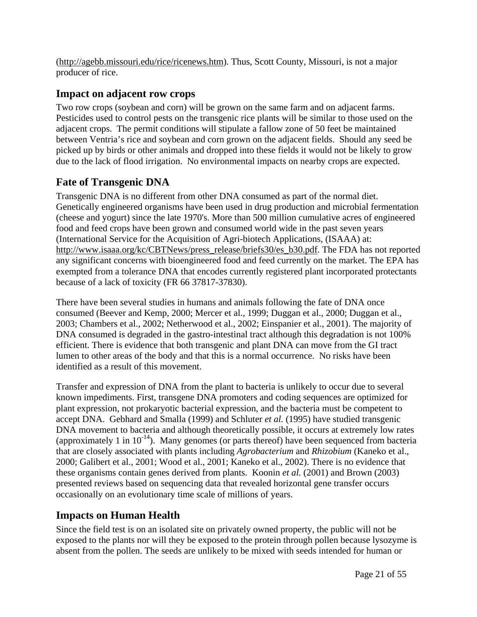(http://agebb.missouri.edu/rice/ricenews.htm). Thus, Scott County, Missouri, is not a major producer of rice.

## **Impact on adjacent row crops**

Two row crops (soybean and corn) will be grown on the same farm and on adjacent farms. Pesticides used to control pests on the transgenic rice plants will be similar to those used on the adjacent crops. The permit conditions will stipulate a fallow zone of 50 feet be maintained between Ventria's rice and soybean and corn grown on the adjacent fields. Should any seed be picked up by birds or other animals and dropped into these fields it would not be likely to grow due to the lack of flood irrigation. No environmental impacts on nearby crops are expected.

## **Fate of Transgenic DNA**

Transgenic DNA is no different from other DNA consumed as part of the normal diet. Genetically engineered organisms have been used in drug production and microbial fermentation (cheese and yogurt) since the late 1970's. More than 500 million cumulative acres of engineered food and feed crops have been grown and consumed world wide in the past seven years (International Service for the Acquisition of Agri-biotech Applications, (ISAAA) at: http://www.isaaa.org/kc/CBTNews/press\_release/briefs30/es\_b30.pdf. The FDA has not reported any significant concerns with bioengineered food and feed currently on the market. The EPA has exempted from a tolerance DNA that encodes currently registered plant incorporated protectants because of a lack of toxicity (FR 66 37817-37830).

There have been several studies in humans and animals following the fate of DNA once consumed (Beever and Kemp, 2000; Mercer et al., 1999; Duggan et al., 2000; Duggan et al., 2003; Chambers et al., 2002; Netherwood et al., 2002; Einspanier et al., 2001). The majority of DNA consumed is degraded in the gastro-intestinal tract although this degradation is not 100% efficient. There is evidence that both transgenic and plant DNA can move from the GI tract lumen to other areas of the body and that this is a normal occurrence. No risks have been identified as a result of this movement.

Transfer and expression of DNA from the plant to bacteria is unlikely to occur due to several known impediments. First, transgene DNA promoters and coding sequences are optimized for plant expression, not prokaryotic bacterial expression, and the bacteria must be competent to accept DNA. Gebhard and Smalla (1999) and Schluter *et al.* (1995) have studied transgenic DNA movement to bacteria and although theoretically possible, it occurs at extremely low rates (approximately 1 in  $10^{-14}$ ). Many genomes (or parts thereof) have been sequenced from bacteria that are closely associated with plants including *Agrobacterium* and *Rhizobium* (Kaneko et al., 2000; Galibert et al., 2001; Wood et al., 2001; Kaneko et al., 2002). There is no evidence that these organisms contain genes derived from plants. Koonin *et al.* (2001) and Brown (2003) presented reviews based on sequencing data that revealed horizontal gene transfer occurs occasionally on an evolutionary time scale of millions of years.

## **Impacts on Human Health**

Since the field test is on an isolated site on privately owned property, the public will not be exposed to the plants nor will they be exposed to the protein through pollen because lysozyme is absent from the pollen. The seeds are unlikely to be mixed with seeds intended for human or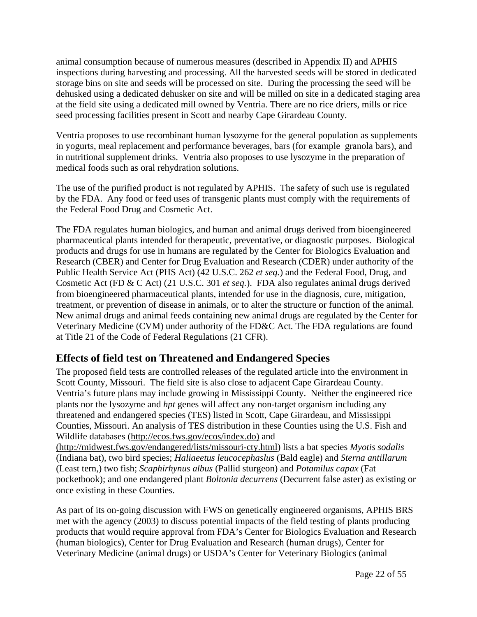animal consumption because of numerous measures (described in Appendix II) and APHIS inspections during harvesting and processing. All the harvested seeds will be stored in dedicated storage bins on site and seeds will be processed on site. During the processing the seed will be dehusked using a dedicated dehusker on site and will be milled on site in a dedicated staging area at the field site using a dedicated mill owned by Ventria. There are no rice driers, mills or rice seed processing facilities present in Scott and nearby Cape Girardeau County.

Ventria proposes to use recombinant human lysozyme for the general population as supplements in yogurts, meal replacement and performance beverages, bars (for example granola bars), and in nutritional supplement drinks. Ventria also proposes to use lysozyme in the preparation of medical foods such as oral rehydration solutions.

The use of the purified product is not regulated by APHIS. The safety of such use is regulated by the FDA. Any food or feed uses of transgenic plants must comply with the requirements of the Federal Food Drug and Cosmetic Act.

The FDA regulates human biologics, and human and animal drugs derived from bioengineered pharmaceutical plants intended for therapeutic, preventative, or diagnostic purposes. Biological products and drugs for use in humans are regulated by the Center for Biologics Evaluation and Research (CBER) and Center for Drug Evaluation and Research (CDER) under authority of the Public Health Service Act (PHS Act) (42 U.S.C. 262 *et seq.*) and the Federal Food, Drug, and Cosmetic Act (FD & C Act) (21 U.S.C. 301 *et seq.*). FDA also regulates animal drugs derived from bioengineered pharmaceutical plants, intended for use in the diagnosis, cure, mitigation, treatment, or prevention of disease in animals, or to alter the structure or function of the animal. New animal drugs and animal feeds containing new animal drugs are regulated by the Center for Veterinary Medicine (CVM) under authority of the FD&C Act. The FDA regulations are found at Title 21 of the Code of Federal Regulations (21 CFR).

## **Effects of field test on Threatened and Endangered Species**

The proposed field tests are controlled releases of the regulated article into the environment in Scott County, Missouri. The field site is also close to adjacent Cape Girardeau County. Ventria's future plans may include growing in Mississippi County. Neither the engineered rice plants nor the lysozyme and *hpt* genes will affect any non-target organism including any threatened and endangered species (TES) listed in Scott, Cape Girardeau, and Mississippi Counties, Missouri. An analysis of TES distribution in these Counties using the U.S. Fish and Wildlife databases (http://ecos.fws.gov/ecos/index.do) and

(http://midwest.fws.gov/endangered/lists/missouri-cty.html) lists a bat species *Myotis sodalis* (Indiana bat), two bird species; *Haliaeetus leucocephaslus* (Bald eagle) and *Sterna antillarum*  (Least tern,) two fish; *Scaphirhynus albus* (Pallid sturgeon) and *Potamilus capax* (Fat pocketbook); and one endangered plant *Boltonia decurrens* (Decurrent false aster) as existing or once existing in these Counties.

As part of its on-going discussion with FWS on genetically engineered organisms, APHIS BRS met with the agency (2003) to discuss potential impacts of the field testing of plants producing products that would require approval from FDA's Center for Biologics Evaluation and Research (human biologics), Center for Drug Evaluation and Research (human drugs), Center for Veterinary Medicine (animal drugs) or USDA's Center for Veterinary Biologics (animal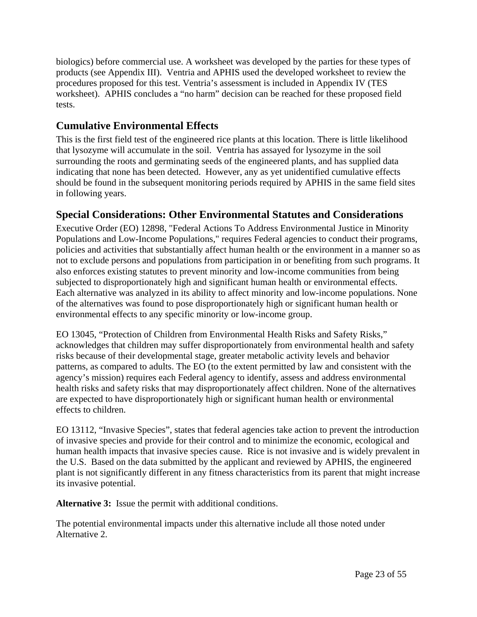biologics) before commercial use. A worksheet was developed by the parties for these types of products (see Appendix III). Ventria and APHIS used the developed worksheet to review the procedures proposed for this test. Ventria's assessment is included in Appendix IV (TES worksheet). APHIS concludes a "no harm" decision can be reached for these proposed field tests.

## **Cumulative Environmental Effects**

This is the first field test of the engineered rice plants at this location. There is little likelihood that lysozyme will accumulate in the soil. Ventria has assayed for lysozyme in the soil surrounding the roots and germinating seeds of the engineered plants, and has supplied data indicating that none has been detected. However, any as yet unidentified cumulative effects should be found in the subsequent monitoring periods required by APHIS in the same field sites in following years.

## **Special Considerations: Other Environmental Statutes and Considerations**

Executive Order (EO) 12898, "Federal Actions To Address Environmental Justice in Minority Populations and Low-Income Populations," requires Federal agencies to conduct their programs, policies and activities that substantially affect human health or the environment in a manner so as not to exclude persons and populations from participation in or benefiting from such programs. It also enforces existing statutes to prevent minority and low-income communities from being subjected to disproportionately high and significant human health or environmental effects. Each alternative was analyzed in its ability to affect minority and low-income populations. None of the alternatives was found to pose disproportionately high or significant human health or environmental effects to any specific minority or low-income group.

EO 13045, "Protection of Children from Environmental Health Risks and Safety Risks," acknowledges that children may suffer disproportionately from environmental health and safety risks because of their developmental stage, greater metabolic activity levels and behavior patterns, as compared to adults. The EO (to the extent permitted by law and consistent with the agency's mission) requires each Federal agency to identify, assess and address environmental health risks and safety risks that may disproportionately affect children. None of the alternatives are expected to have disproportionately high or significant human health or environmental effects to children.

EO 13112, "Invasive Species", states that federal agencies take action to prevent the introduction of invasive species and provide for their control and to minimize the economic, ecological and human health impacts that invasive species cause. Rice is not invasive and is widely prevalent in the U.S. Based on the data submitted by the applicant and reviewed by APHIS, the engineered plant is not significantly different in any fitness characteristics from its parent that might increase its invasive potential.

**Alternative 3:** Issue the permit with additional conditions.

The potential environmental impacts under this alternative include all those noted under Alternative 2.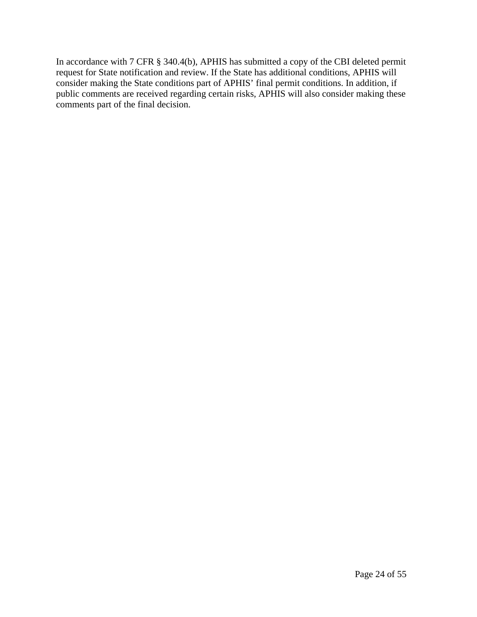In accordance with 7 CFR § 340.4(b), APHIS has submitted a copy of the CBI deleted permit request for State notification and review. If the State has additional conditions, APHIS will consider making the State conditions part of APHIS' final permit conditions. In addition, if public comments are received regarding certain risks, APHIS will also consider making these comments part of the final decision.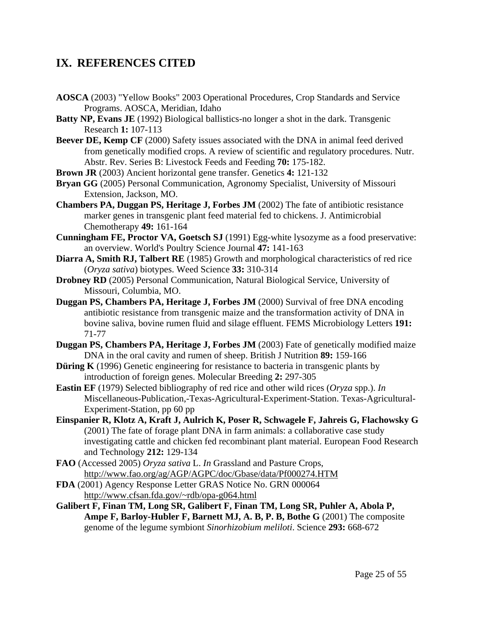## **IX. REFERENCES CITED**

- **AOSCA** (2003) "Yellow Books" 2003 Operational Procedures, Crop Standards and Service Programs. AOSCA, Meridian, Idaho
- **Batty NP, Evans JE** (1992) Biological ballistics-no longer a shot in the dark. Transgenic Research **1:** 107-113
- **Beever DE, Kemp CF** (2000) Safety issues associated with the DNA in animal feed derived from genetically modified crops. A review of scientific and regulatory procedures. Nutr. Abstr. Rev. Series B: Livestock Feeds and Feeding **70:** 175-182.
- **Brown JR** (2003) Ancient horizontal gene transfer. Genetics **4:** 121-132
- **Bryan GG** (2005) Personal Communication, Agronomy Specialist, University of Missouri Extension, Jackson, MO.
- **Chambers PA, Duggan PS, Heritage J, Forbes JM** (2002) The fate of antibiotic resistance marker genes in transgenic plant feed material fed to chickens. J. Antimicrobial Chemotherapy **49:** 161-164
- **Cunningham FE, Proctor VA, Goetsch SJ** (1991) Egg-white lysozyme as a food preservative: an overview. World's Poultry Science Journal **47:** 141-163
- **Diarra A, Smith RJ, Talbert RE** (1985) Growth and morphological characteristics of red rice (*Oryza sativa*) biotypes. Weed Science **33:** 310-314
- **Drobney RD** (2005) Personal Communication, Natural Biological Service, University of Missouri, Columbia, MO.
- **Duggan PS, Chambers PA, Heritage J, Forbes JM** (2000) Survival of free DNA encoding antibiotic resistance from transgenic maize and the transformation activity of DNA in bovine saliva, bovine rumen fluid and silage effluent. FEMS Microbiology Letters **191:** 71-77
- **Duggan PS, Chambers PA, Heritage J, Forbes JM** (2003) Fate of genetically modified maize DNA in the oral cavity and rumen of sheep. British J Nutrition **89:** 159-166
- **Düring K** (1996) Genetic engineering for resistance to bacteria in transgenic plants by introduction of foreign genes. Molecular Breeding **2:** 297-305
- **Eastin EF** (1979) Selected bibliography of red rice and other wild rices (*Oryza* spp.). *In* Miscellaneous-Publication,-Texas-Agricultural-Experiment-Station. Texas-Agricultural-Experiment-Station, pp 60 pp
- **Einspanier R, Klotz A, Kraft J, Aulrich K, Poser R, Schwagele F, Jahreis G, Flachowsky G** (2001) The fate of forage plant DNA in farm animals: a collaborative case study investigating cattle and chicken fed recombinant plant material. European Food Research and Technology **212:** 129-134
- **FAO** (Accessed 2005) *Oryza sativa* L. *In* Grassland and Pasture Crops, http://www.fao.org/ag/AGP/AGPC/doc/Gbase/data/Pf000274.HTM
- **FDA** (2001) Agency Response Letter GRAS Notice No. GRN 000064 http://www.cfsan.fda.gov/~rdb/opa-g064.html
- **Galibert F, Finan TM, Long SR, Galibert F, Finan TM, Long SR, Puhler A, Abola P, Ampe F, Barloy-Hubler F, Barnett MJ, A. B, P. B, Bothe G** (2001) The composite genome of the legume symbiont *Sinorhizobium meliloti*. Science **293:** 668-672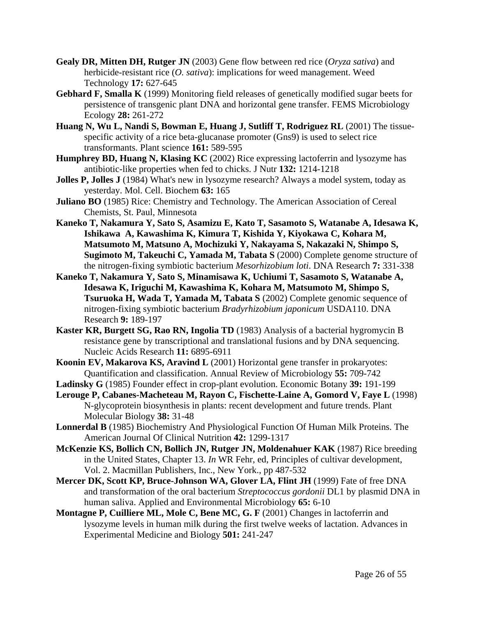- **Gealy DR, Mitten DH, Rutger JN** (2003) Gene flow between red rice (*Oryza sativa*) and herbicide-resistant rice (*O. sativa*): implications for weed management. Weed Technology **17:** 627-645
- **Gebhard F, Smalla K** (1999) Monitoring field releases of genetically modified sugar beets for persistence of transgenic plant DNA and horizontal gene transfer. FEMS Microbiology Ecology **28:** 261-272
- **Huang N, Wu L, Nandi S, Bowman E, Huang J, Sutliff T, Rodriguez RL** (2001) The tissuespecific activity of a rice beta-glucanase promoter (Gns9) is used to select rice transformants. Plant science **161:** 589-595
- **Humphrey BD, Huang N, Klasing KC** (2002) Rice expressing lactoferrin and lysozyme has antibiotic-like properties when fed to chicks. J Nutr **132:** 1214-1218
- **Jolles P, Jolles J** (1984) What's new in lysozyme research? Always a model system, today as yesterday. Mol. Cell. Biochem **63:** 165
- **Juliano BO** (1985) Rice: Chemistry and Technology. The American Association of Cereal Chemists, St. Paul, Minnesota
- **Kaneko T, Nakamura Y, Sato S, Asamizu E, Kato T, Sasamoto S, Watanabe A, Idesawa K, Ishikawa A, Kawashima K, Kimura T, Kishida Y, Kiyokawa C, Kohara M, Matsumoto M, Matsuno A, Mochizuki Y, Nakayama S, Nakazaki N, Shimpo S, Sugimoto M, Takeuchi C, Yamada M, Tabata S** (2000) Complete genome structure of the nitrogen-fixing symbiotic bacterium *Mesorhizobium loti*. DNA Research **7:** 331-338
- **Kaneko T, Nakamura Y, Sato S, Minamisawa K, Uchiumi T, Sasamoto S, Watanabe A, Idesawa K, Iriguchi M, Kawashima K, Kohara M, Matsumoto M, Shimpo S, Tsuruoka H, Wada T, Yamada M, Tabata S** (2002) Complete genomic sequence of nitrogen-fixing symbiotic bacterium *Bradyrhizobium japonicum* USDA110. DNA Research **9:** 189-197
- **Kaster KR, Burgett SG, Rao RN, Ingolia TD** (1983) Analysis of a bacterial hygromycin B resistance gene by transcriptional and translational fusions and by DNA sequencing. Nucleic Acids Research **11:** 6895-6911
- **Koonin EV, Makarova KS, Aravind L** (2001) Horizontal gene transfer in prokaryotes: Quantification and classification. Annual Review of Microbiology **55:** 709-742
- **Ladinsky G** (1985) Founder effect in crop-plant evolution. Economic Botany **39:** 191-199
- **Lerouge P, Cabanes-Macheteau M, Rayon C, Fischette-Laine A, Gomord V, Faye L** (1998) N-glycoprotein biosynthesis in plants: recent development and future trends. Plant Molecular Biology **38:** 31-48
- **Lonnerdal B** (1985) Biochemistry And Physiological Function Of Human Milk Proteins. The American Journal Of Clinical Nutrition **42:** 1299-1317
- **McKenzie KS, Bollich CN, Bollich JN, Rutger JN, Moldenahuer KAK** (1987) Rice breeding in the United States, Chapter 13. *In* WR Fehr, ed, Principles of cultivar development, Vol. 2. Macmillan Publishers, Inc., New York., pp 487-532
- **Mercer DK, Scott KP, Bruce-Johnson WA, Glover LA, Flint JH** (1999) Fate of free DNA and transformation of the oral bacterium *Streptococcus gordonii* DL1 by plasmid DNA in human saliva. Applied and Environmental Microbiology **65:** 6-10
- **Montagne P, Cuilliere ML, Mole C, Bene MC, G. F** (2001) Changes in lactoferrin and lysozyme levels in human milk during the first twelve weeks of lactation. Advances in Experimental Medicine and Biology **501:** 241-247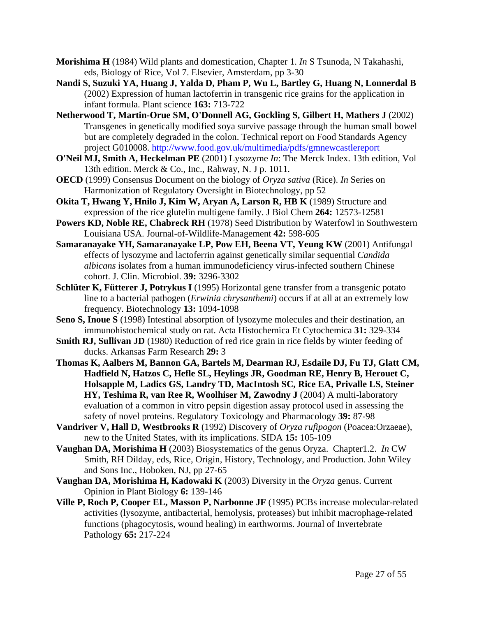- **Morishima H** (1984) Wild plants and domestication, Chapter 1. *In* S Tsunoda, N Takahashi, eds, Biology of Rice, Vol 7. Elsevier, Amsterdam, pp 3-30
- **Nandi S, Suzuki YA, Huang J, Yalda D, Pham P, Wu L, Bartley G, Huang N, Lonnerdal B** (2002) Expression of human lactoferrin in transgenic rice grains for the application in infant formula. Plant science **163:** 713-722
- **Netherwood T, Martin-Orue SM, O'Donnell AG, Gockling S, Gilbert H, Mathers J** (2002) Transgenes in genetically modified soya survive passage through the human small bowel but are completely degraded in the colon. Technical report on Food Standards Agency project G010008. http://www.food.gov.uk/multimedia/pdfs/gmnewcastlereport
- **O'Neil MJ, Smith A, Heckelman PE** (2001) Lysozyme *In*: The Merck Index. 13th edition, Vol 13th edition. Merck & Co., Inc., Rahway, N. J p. 1011.
- **OECD** (1999) Consensus Document on the biology of *Oryza sativa* (Rice). *In* Series on Harmonization of Regulatory Oversight in Biotechnology, pp 52
- **Okita T, Hwang Y, Hnilo J, Kim W, Aryan A, Larson R, HB K** (1989) Structure and expression of the rice glutelin multigene family. J Biol Chem **264:** 12573-12581
- **Powers KD, Noble RE, Chabreck RH** (1978) Seed Distribution by Waterfowl in Southwestern Louisiana USA. Journal-of-Wildlife-Management **42:** 598-605
- **Samaranayake YH, Samaranayake LP, Pow EH, Beena VT, Yeung KW** (2001) Antifungal effects of lysozyme and lactoferrin against genetically similar sequential *Candida albicans* isolates from a human immunodeficiency virus-infected southern Chinese cohort. J. Clin. Microbiol. **39:** 3296-3302
- **Schlüter K, Fütterer J, Potrykus I** (1995) Horizontal gene transfer from a transgenic potato line to a bacterial pathogen (*Erwinia chrysanthemi*) occurs if at all at an extremely low frequency. Biotechnology **13:** 1094-1098
- **Seno S, Inoue S** (1998) Intestinal absorption of lysozyme molecules and their destination, an immunohistochemical study on rat. Acta Histochemica Et Cytochemica **31:** 329-334
- **Smith RJ, Sullivan JD** (1980) Reduction of red rice grain in rice fields by winter feeding of ducks. Arkansas Farm Research **29:** 3
- **Thomas K, Aalbers M, Bannon GA, Bartels M, Dearman RJ, Esdaile DJ, Fu TJ, Glatt CM, Hadfield N, Hatzos C, Hefle SL, Heylings JR, Goodman RE, Henry B, Herouet C, Holsapple M, Ladics GS, Landry TD, MacIntosh SC, Rice EA, Privalle LS, Steiner HY, Teshima R, van Ree R, Woolhiser M, Zawodny J** (2004) A multi-laboratory evaluation of a common in vitro pepsin digestion assay protocol used in assessing the safety of novel proteins. Regulatory Toxicology and Pharmacology **39:** 87-98
- **Vandriver V, Hall D, Westbrooks R** (1992) Discovery of *Oryza rufipogon* (Poacea:Orzaeae), new to the United States, with its implications. SIDA **15:** 105-109
- **Vaughan DA, Morishima H** (2003) Biosystematics of the genus Oryza. Chapter1.2. *In* CW Smith, RH Dilday, eds, Rice, Origin, History, Technology, and Production. John Wiley and Sons Inc., Hoboken, NJ, pp 27-65
- **Vaughan DA, Morishima H, Kadowaki K** (2003) Diversity in the *Oryza* genus. Current Opinion in Plant Biology **6:** 139-146
- **Ville P, Roch P, Cooper EL, Masson P, Narbonne JF** (1995) PCBs increase molecular-related activities (lysozyme, antibacterial, hemolysis, proteases) but inhibit macrophage-related functions (phagocytosis, wound healing) in earthworms. Journal of Invertebrate Pathology **65:** 217-224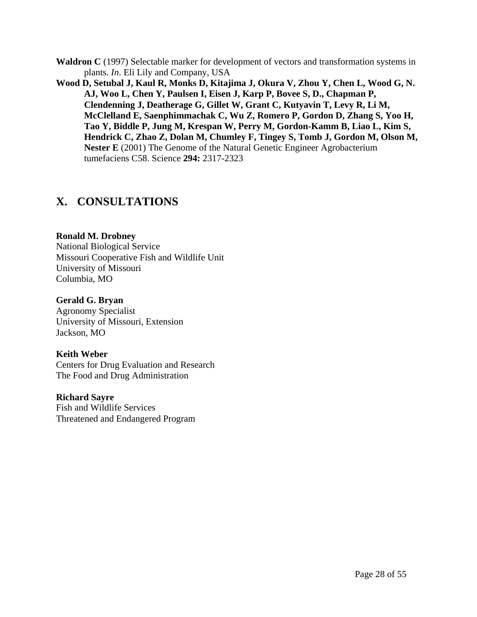- **Waldron C** (1997) Selectable marker for development of vectors and transformation systems in plants. *In*. Eli Lily and Company, USA
- **Wood D, Setubal J, Kaul R, Monks D, Kitajima J, Okura V, Zhou Y, Chen L, Wood G, N. AJ, Woo L, Chen Y, Paulsen I, Eisen J, Karp P, Bovee S, D., Chapman P, Clendenning J, Deatherage G, Gillet W, Grant C, Kutyavin T, Levy R, Li M, McClelland E, Saenphimmachak C, Wu Z, Romero P, Gordon D, Zhang S, Yoo H, Tao Y, Biddle P, Jung M, Krespan W, Perry M, Gordon-Kamm B, Liao L, Kim S, Hendrick C, Zhao Z, Dolan M, Chumley F, Tingey S, Tomb J, Gordon M, Olson M, Nester E** (2001) The Genome of the Natural Genetic Engineer Agrobacterium tumefaciens C58. Science **294:** 2317-2323

## **X. CONSULTATIONS**

#### **Ronald M. Drobney**

National Biological Service Missouri Cooperative Fish and Wildlife Unit University of Missouri Columbia, MO

#### **Gerald G. Bryan**

Agronomy Specialist University of Missouri, Extension Jackson, MO

### **Keith Weber**

Centers for Drug Evaluation and Research The Food and Drug Administration

#### **Richard Sayre**

Fish and Wildlife Services Threatened and Endangered Program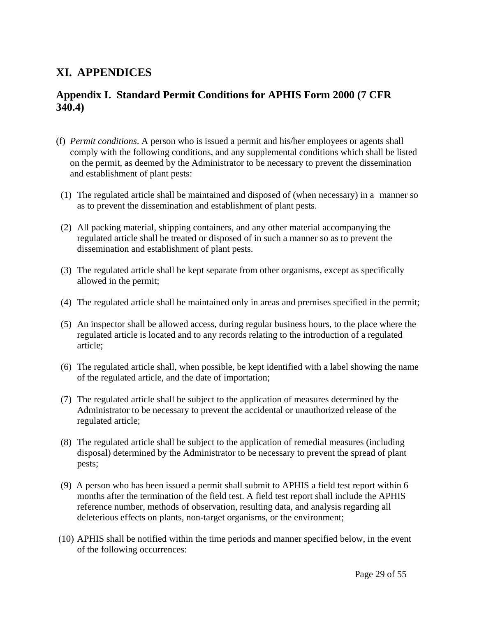## **XI. APPENDICES**

## **Appendix I. Standard Permit Conditions for APHIS Form 2000 (7 CFR 340.4)**

- (f) *Permit conditions*. A person who is issued a permit and his/her employees or agents shall comply with the following conditions, and any supplemental conditions which shall be listed on the permit, as deemed by the Administrator to be necessary to prevent the dissemination and establishment of plant pests:
- (1) The regulated article shall be maintained and disposed of (when necessary) in a manner so as to prevent the dissemination and establishment of plant pests.
- (2) All packing material, shipping containers, and any other material accompanying the regulated article shall be treated or disposed of in such a manner so as to prevent the dissemination and establishment of plant pests.
- (3) The regulated article shall be kept separate from other organisms, except as specifically allowed in the permit;
- (4) The regulated article shall be maintained only in areas and premises specified in the permit;
- (5) An inspector shall be allowed access, during regular business hours, to the place where the regulated article is located and to any records relating to the introduction of a regulated article;
- (6) The regulated article shall, when possible, be kept identified with a label showing the name of the regulated article, and the date of importation;
- (7) The regulated article shall be subject to the application of measures determined by the Administrator to be necessary to prevent the accidental or unauthorized release of the regulated article;
- (8) The regulated article shall be subject to the application of remedial measures (including disposal) determined by the Administrator to be necessary to prevent the spread of plant pests;
- (9) A person who has been issued a permit shall submit to APHIS a field test report within 6 months after the termination of the field test. A field test report shall include the APHIS reference number, methods of observation, resulting data, and analysis regarding all deleterious effects on plants, non-target organisms, or the environment;
- (10) APHIS shall be notified within the time periods and manner specified below, in the event of the following occurrences: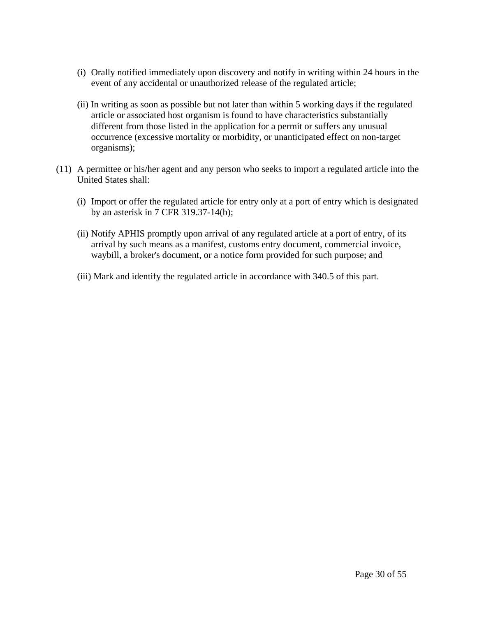- (i) Orally notified immediately upon discovery and notify in writing within 24 hours in the event of any accidental or unauthorized release of the regulated article;
- (ii) In writing as soon as possible but not later than within 5 working days if the regulated article or associated host organism is found to have characteristics substantially different from those listed in the application for a permit or suffers any unusual occurrence (excessive mortality or morbidity, or unanticipated effect on non-target organisms);
- (11) A permittee or his/her agent and any person who seeks to import a regulated article into the United States shall:
	- (i) Import or offer the regulated article for entry only at a port of entry which is designated by an asterisk in 7 CFR 319.37-14(b);
	- (ii) Notify APHIS promptly upon arrival of any regulated article at a port of entry, of its arrival by such means as a manifest, customs entry document, commercial invoice, waybill, a broker's document, or a notice form provided for such purpose; and
	- (iii) Mark and identify the regulated article in accordance with 340.5 of this part.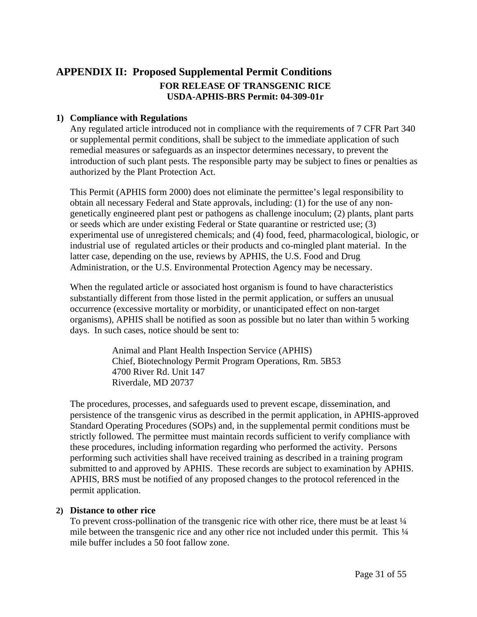## **APPENDIX II: Proposed Supplemental Permit Conditions FOR RELEASE OF TRANSGENIC RICE USDA-APHIS-BRS Permit: 04-309-01r**

#### **1) Compliance with Regulations**

Any regulated article introduced not in compliance with the requirements of 7 CFR Part 340 or supplemental permit conditions, shall be subject to the immediate application of such remedial measures or safeguards as an inspector determines necessary, to prevent the introduction of such plant pests. The responsible party may be subject to fines or penalties as authorized by the Plant Protection Act.

This Permit (APHIS form 2000) does not eliminate the permittee's legal responsibility to obtain all necessary Federal and State approvals, including: (1) for the use of any nongenetically engineered plant pest or pathogens as challenge inoculum; (2) plants, plant parts or seeds which are under existing Federal or State quarantine or restricted use; (3) experimental use of unregistered chemicals; and (4) food, feed, pharmacological, biologic, or industrial use of regulated articles or their products and co-mingled plant material. In the latter case, depending on the use, reviews by APHIS, the U.S. Food and Drug Administration, or the U.S. Environmental Protection Agency may be necessary.

When the regulated article or associated host organism is found to have characteristics substantially different from those listed in the permit application, or suffers an unusual occurrence (excessive mortality or morbidity, or unanticipated effect on non-target organisms), APHIS shall be notified as soon as possible but no later than within 5 working days. In such cases, notice should be sent to:

> Animal and Plant Health Inspection Service (APHIS) Chief, Biotechnology Permit Program Operations, Rm. 5B53 4700 River Rd. Unit 147 Riverdale, MD 20737

The procedures, processes, and safeguards used to prevent escape, dissemination, and persistence of the transgenic virus as described in the permit application, in APHIS-approved Standard Operating Procedures (SOPs) and, in the supplemental permit conditions must be strictly followed. The permittee must maintain records sufficient to verify compliance with these procedures, including information regarding who performed the activity. Persons performing such activities shall have received training as described in a training program submitted to and approved by APHIS. These records are subject to examination by APHIS. APHIS, BRS must be notified of any proposed changes to the protocol referenced in the permit application.

#### **2) Distance to other rice**

To prevent cross-pollination of the transgenic rice with other rice, there must be at least  $\frac{1}{4}$ mile between the transgenic rice and any other rice not included under this permit. This  $\frac{1}{4}$ mile buffer includes a 50 foot fallow zone.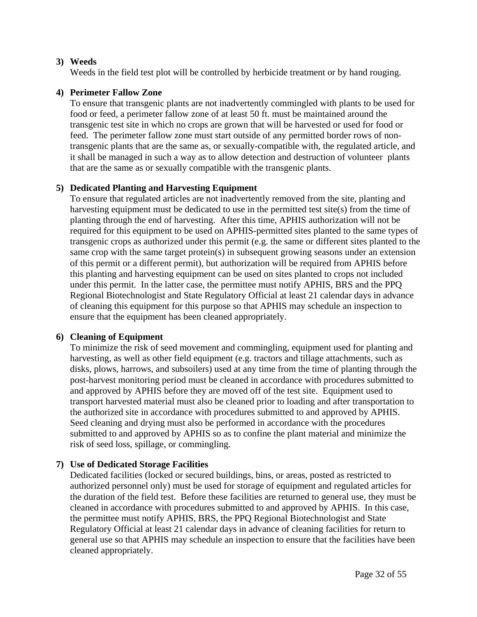#### **3) Weeds**

Weeds in the field test plot will be controlled by herbicide treatment or by hand rouging.

#### **4) Perimeter Fallow Zone**

To ensure that transgenic plants are not inadvertently commingled with plants to be used for food or feed, a perimeter fallow zone of at least 50 ft. must be maintained around the transgenic test site in which no crops are grown that will be harvested or used for food or feed. The perimeter fallow zone must start outside of any permitted border rows of nontransgenic plants that are the same as, or sexually-compatible with, the regulated article, and it shall be managed in such a way as to allow detection and destruction of volunteer plants that are the same as or sexually compatible with the transgenic plants.

#### **5) Dedicated Planting and Harvesting Equipment**

To ensure that regulated articles are not inadvertently removed from the site, planting and harvesting equipment must be dedicated to use in the permitted test site(s) from the time of planting through the end of harvesting. After this time, APHIS authorization will not be required for this equipment to be used on APHIS-permitted sites planted to the same types of transgenic crops as authorized under this permit (e.g. the same or different sites planted to the same crop with the same target protein(s) in subsequent growing seasons under an extension of this permit or a different permit), but authorization will be required from APHIS before this planting and harvesting equipment can be used on sites planted to crops not included under this permit. In the latter case, the permittee must notify APHIS, BRS and the PPQ Regional Biotechnologist and State Regulatory Official at least 21 calendar days in advance of cleaning this equipment for this purpose so that APHIS may schedule an inspection to ensure that the equipment has been cleaned appropriately.

#### **6) Cleaning of Equipment**

To minimize the risk of seed movement and commingling, equipment used for planting and harvesting, as well as other field equipment (e.g. tractors and tillage attachments, such as disks, plows, harrows, and subsoilers) used at any time from the time of planting through the post-harvest monitoring period must be cleaned in accordance with procedures submitted to and approved by APHIS before they are moved off of the test site. Equipment used to transport harvested material must also be cleaned prior to loading and after transportation to the authorized site in accordance with procedures submitted to and approved by APHIS. Seed cleaning and drying must also be performed in accordance with the procedures submitted to and approved by APHIS so as to confine the plant material and minimize the risk of seed loss, spillage, or commingling.

#### **7) Use of Dedicated Storage Facilities**

Dedicated facilities (locked or secured buildings, bins, or areas, posted as restricted to authorized personnel only) must be used for storage of equipment and regulated articles for the duration of the field test. Before these facilities are returned to general use, they must be cleaned in accordance with procedures submitted to and approved by APHIS. In this case, the permittee must notify APHIS, BRS, the PPQ Regional Biotechnologist and State Regulatory Official at least 21 calendar days in advance of cleaning facilities for return to general use so that APHIS may schedule an inspection to ensure that the facilities have been cleaned appropriately.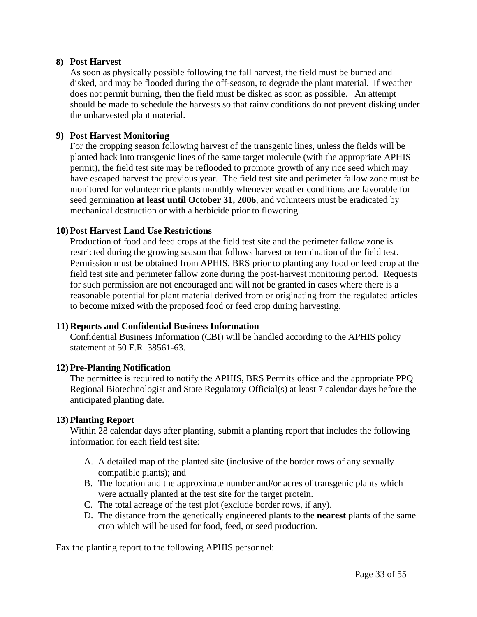#### **8) Post Harvest**

As soon as physically possible following the fall harvest, the field must be burned and disked, and may be flooded during the off-season, to degrade the plant material. If weather does not permit burning, then the field must be disked as soon as possible. An attempt should be made to schedule the harvests so that rainy conditions do not prevent disking under the unharvested plant material.

#### **9) Post Harvest Monitoring**

For the cropping season following harvest of the transgenic lines, unless the fields will be planted back into transgenic lines of the same target molecule (with the appropriate APHIS permit), the field test site may be reflooded to promote growth of any rice seed which may have escaped harvest the previous year. The field test site and perimeter fallow zone must be monitored for volunteer rice plants monthly whenever weather conditions are favorable for seed germination **at least until October 31, 2006**, and volunteers must be eradicated by mechanical destruction or with a herbicide prior to flowering.

#### **10) Post Harvest Land Use Restrictions**

Production of food and feed crops at the field test site and the perimeter fallow zone is restricted during the growing season that follows harvest or termination of the field test. Permission must be obtained from APHIS, BRS prior to planting any food or feed crop at the field test site and perimeter fallow zone during the post-harvest monitoring period. Requests for such permission are not encouraged and will not be granted in cases where there is a reasonable potential for plant material derived from or originating from the regulated articles to become mixed with the proposed food or feed crop during harvesting.

#### **11) Reports and Confidential Business Information**

Confidential Business Information (CBI) will be handled according to the APHIS policy statement at 50 F.R. 38561-63.

#### **12) Pre-Planting Notification**

The permittee is required to notify the APHIS, BRS Permits office and the appropriate PPQ Regional Biotechnologist and State Regulatory Official(s) at least 7 calendar days before the anticipated planting date.

#### **13) Planting Report**

Within 28 calendar days after planting, submit a planting report that includes the following information for each field test site:

- A. A detailed map of the planted site (inclusive of the border rows of any sexually compatible plants); and
- B. The location and the approximate number and/or acres of transgenic plants which were actually planted at the test site for the target protein.
- C. The total acreage of the test plot (exclude border rows, if any).
- D. The distance from the genetically engineered plants to the **nearest** plants of the same crop which will be used for food, feed, or seed production.

Fax the planting report to the following APHIS personnel: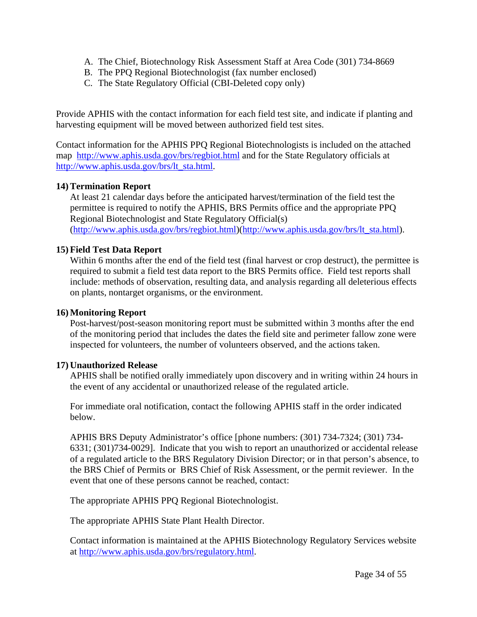- A. The Chief, Biotechnology Risk Assessment Staff at Area Code (301) 734-8669
- B. The PPQ Regional Biotechnologist (fax number enclosed)
- C. The State Regulatory Official (CBI-Deleted copy only)

Provide APHIS with the contact information for each field test site, and indicate if planting and harvesting equipment will be moved between authorized field test sites.

Contact information for the APHIS PPQ Regional Biotechnologists is included on the attached map http://www.aphis.usda.gov/brs/regbiot.html and for the State Regulatory officials at http://www.aphis.usda.gov/brs/lt\_sta.html.

#### **14) Termination Report**

At least 21 calendar days before the anticipated harvest/termination of the field test the permittee is required to notify the APHIS, BRS Permits office and the appropriate PPQ Regional Biotechnologist and State Regulatory Official(s) (http://www.aphis.usda.gov/brs/regbiot.html)(http://www.aphis.usda.gov/brs/lt\_sta.html).

#### **15) Field Test Data Report**

Within 6 months after the end of the field test (final harvest or crop destruct), the permittee is required to submit a field test data report to the BRS Permits office. Field test reports shall include: methods of observation, resulting data, and analysis regarding all deleterious effects on plants, nontarget organisms, or the environment.

#### **16) Monitoring Report**

Post-harvest/post-season monitoring report must be submitted within 3 months after the end of the monitoring period that includes the dates the field site and perimeter fallow zone were inspected for volunteers, the number of volunteers observed, and the actions taken.

#### **17) Unauthorized Release**

APHIS shall be notified orally immediately upon discovery and in writing within 24 hours in the event of any accidental or unauthorized release of the regulated article.

For immediate oral notification, contact the following APHIS staff in the order indicated below.

APHIS BRS Deputy Administrator's office [phone numbers: (301) 734-7324; (301) 734- 6331; (301)734-0029]. Indicate that you wish to report an unauthorized or accidental release of a regulated article to the BRS Regulatory Division Director; or in that person's absence, to the BRS Chief of Permits or BRS Chief of Risk Assessment, or the permit reviewer. In the event that one of these persons cannot be reached, contact:

The appropriate APHIS PPQ Regional Biotechnologist.

The appropriate APHIS State Plant Health Director.

Contact information is maintained at the APHIS Biotechnology Regulatory Services website at http://www.aphis.usda.gov/brs/regulatory.html.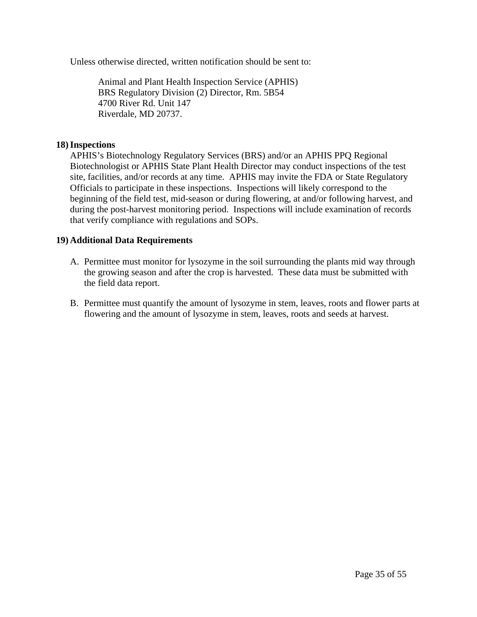Unless otherwise directed, written notification should be sent to:

Animal and Plant Health Inspection Service (APHIS) BRS Regulatory Division (2) Director, Rm. 5B54 4700 River Rd. Unit 147 Riverdale, MD 20737.

#### **18)Inspections**

APHIS's Biotechnology Regulatory Services (BRS) and/or an APHIS PPQ Regional Biotechnologist or APHIS State Plant Health Director may conduct inspections of the test site, facilities, and/or records at any time. APHIS may invite the FDA or State Regulatory Officials to participate in these inspections. Inspections will likely correspond to the beginning of the field test, mid-season or during flowering, at and/or following harvest, and during the post-harvest monitoring period. Inspections will include examination of records that verify compliance with regulations and SOPs.

#### **19) Additional Data Requirements**

- A. Permittee must monitor for lysozyme in the soil surrounding the plants mid way through the growing season and after the crop is harvested. These data must be submitted with the field data report.
- B. Permittee must quantify the amount of lysozyme in stem, leaves, roots and flower parts at flowering and the amount of lysozyme in stem, leaves, roots and seeds at harvest.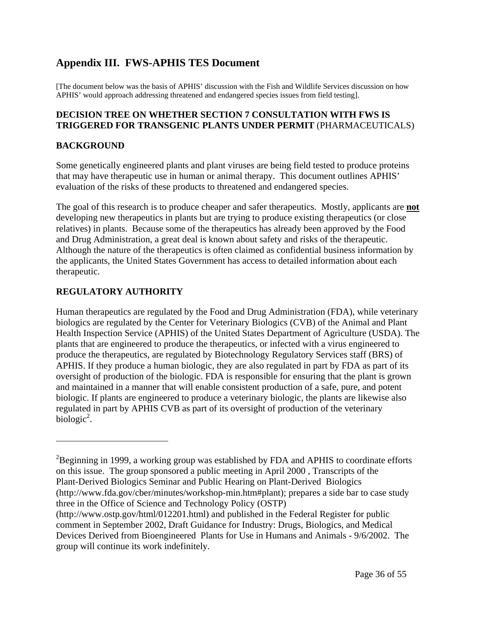## **Appendix III. FWS-APHIS TES Document**

[The document below was the basis of APHIS' discussion with the Fish and Wildlife Services discussion on how APHIS' would approach addressing threatened and endangered species issues from field testing].

#### **DECISION TREE ON WHETHER SECTION 7 CONSULTATION WITH FWS IS TRIGGERED FOR TRANSGENIC PLANTS UNDER PERMIT** (PHARMACEUTICALS)

#### **BACKGROUND**

 $\overline{a}$ 

Some genetically engineered plants and plant viruses are being field tested to produce proteins that may have therapeutic use in human or animal therapy. This document outlines APHIS' evaluation of the risks of these products to threatened and endangered species.

The goal of this research is to produce cheaper and safer therapeutics. Mostly, applicants are **not** developing new therapeutics in plants but are trying to produce existing therapeutics (or close relatives) in plants. Because some of the therapeutics has already been approved by the Food and Drug Administration, a great deal is known about safety and risks of the therapeutic. Although the nature of the therapeutics is often claimed as confidential business information by the applicants, the United States Government has access to detailed information about each therapeutic.

### **REGULATORY AUTHORITY**

Human therapeutics are regulated by the Food and Drug Administration (FDA), while veterinary biologics are regulated by the Center for Veterinary Biologics (CVB) of the Animal and Plant Health Inspection Service (APHIS) of the United States Department of Agriculture (USDA). The plants that are engineered to produce the therapeutics, or infected with a virus engineered to produce the therapeutics, are regulated by Biotechnology Regulatory Services staff (BRS) of APHIS. If they produce a human biologic, they are also regulated in part by FDA as part of its oversight of production of the biologic. FDA is responsible for ensuring that the plant is grown and maintained in a manner that will enable consistent production of a safe, pure, and potent biologic. If plants are engineered to produce a veterinary biologic, the plants are likewise also regulated in part by APHIS CVB as part of its oversight of production of the veterinary  $biologic<sup>2</sup>$ .

group will continue its work indefinitely.

 $2B$ eginning in 1999, a working group was established by FDA and APHIS to coordinate efforts on this issue. The group sponsored a public meeting in April 2000 , Transcripts of the Plant-Derived Biologics Seminar and Public Hearing on Plant-Derived Biologics (http://www.fda.gov/cber/minutes/workshop-min.htm#plant); prepares a side bar to case study three in the Office of Science and Technology Policy (OSTP) (http://www.ostp.gov/html/012201.html) and published in the Federal Register for public comment in September 2002, Draft Guidance for Industry: Drugs, Biologics, and Medical Devices Derived from Bioengineered Plants for Use in Humans and Animals - 9/6/2002. The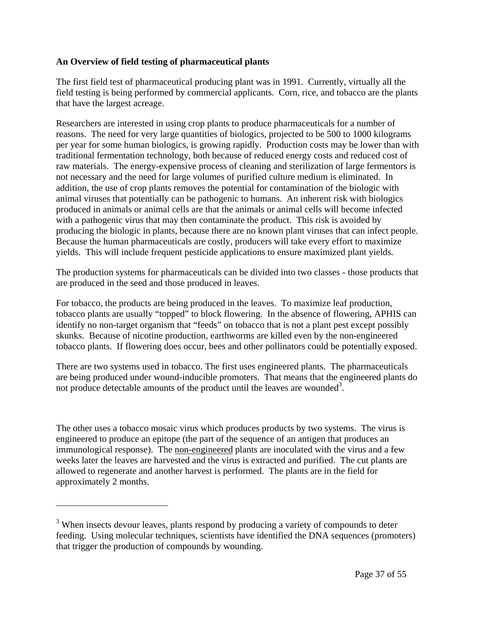#### **An Overview of field testing of pharmaceutical plants**

The first field test of pharmaceutical producing plant was in 1991. Currently, virtually all the field testing is being performed by commercial applicants. Corn, rice, and tobacco are the plants that have the largest acreage.

Researchers are interested in using crop plants to produce pharmaceuticals for a number of reasons. The need for very large quantities of biologics, projected to be 500 to 1000 kilograms per year for some human biologics, is growing rapidly. Production costs may be lower than with traditional fermentation technology, both because of reduced energy costs and reduced cost of raw materials. The energy-expensive process of cleaning and sterilization of large fermentors is not necessary and the need for large volumes of purified culture medium is eliminated. In addition, the use of crop plants removes the potential for contamination of the biologic with animal viruses that potentially can be pathogenic to humans. An inherent risk with biologics produced in animals or animal cells are that the animals or animal cells will become infected with a pathogenic virus that may then contaminate the product. This risk is avoided by producing the biologic in plants, because there are no known plant viruses that can infect people. Because the human pharmaceuticals are costly, producers will take every effort to maximize yields. This will include frequent pesticide applications to ensure maximized plant yields.

The production systems for pharmaceuticals can be divided into two classes - those products that are produced in the seed and those produced in leaves.

For tobacco, the products are being produced in the leaves. To maximize leaf production, tobacco plants are usually "topped" to block flowering. In the absence of flowering, APHIS can identify no non-target organism that "feeds" on tobacco that is not a plant pest except possibly skunks. Because of nicotine production, earthworms are killed even by the non-engineered tobacco plants. If flowering does occur, bees and other pollinators could be potentially exposed.

There are two systems used in tobacco. The first uses engineered plants. The pharmaceuticals are being produced under wound-inducible promoters. That means that the engineered plants do not produce detectable amounts of the product until the leaves are wounded<sup>3</sup>.

The other uses a tobacco mosaic virus which produces products by two systems. The virus is engineered to produce an epitope (the part of the sequence of an antigen that produces an immunological response). The non-engineered plants are inoculated with the virus and a few weeks later the leaves are harvested and the virus is extracted and purified. The cut plants are allowed to regenerate and another harvest is performed. The plants are in the field for approximately 2 months.

1

<sup>&</sup>lt;sup>3</sup> When insects devour leaves, plants respond by producing a variety of compounds to deter feeding. Using molecular techniques, scientists have identified the DNA sequences (promoters) that trigger the production of compounds by wounding.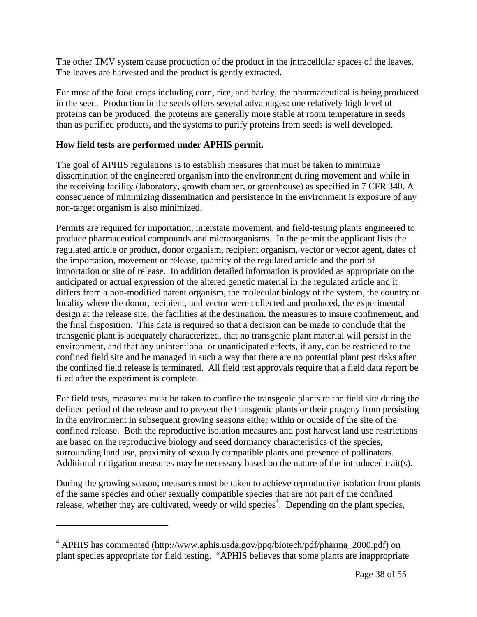The other TMV system cause production of the product in the intracellular spaces of the leaves. The leaves are harvested and the product is gently extracted.

For most of the food crops including corn, rice, and barley, the pharmaceutical is being produced in the seed. Production in the seeds offers several advantages: one relatively high level of proteins can be produced, the proteins are generally more stable at room temperature in seeds than as purified products, and the systems to purify proteins from seeds is well developed.

#### **How field tests are performed under APHIS permit.**

 $\overline{a}$ 

The goal of APHIS regulations is to establish measures that must be taken to minimize dissemination of the engineered organism into the environment during movement and while in the receiving facility (laboratory, growth chamber, or greenhouse) as specified in 7 CFR 340. A consequence of minimizing dissemination and persistence in the environment is exposure of any non-target organism is also minimized.

Permits are required for importation, interstate movement, and field-testing plants engineered to produce pharmaceutical compounds and microorganisms. In the permit the applicant lists the regulated article or product, donor organism, recipient organism, vector or vector agent, dates of the importation, movement or release, quantity of the regulated article and the port of importation or site of release. In addition detailed information is provided as appropriate on the anticipated or actual expression of the altered genetic material in the regulated article and it differs from a non-modified parent organism, the molecular biology of the system, the country or locality where the donor, recipient, and vector were collected and produced, the experimental design at the release site, the facilities at the destination, the measures to insure confinement, and the final disposition. This data is required so that a decision can be made to conclude that the transgenic plant is adequately characterized, that no transgenic plant material will persist in the environment, and that any unintentional or unanticipated effects, if any, can be restricted to the confined field site and be managed in such a way that there are no potential plant pest risks after the confined field release is terminated. All field test approvals require that a field data report be filed after the experiment is complete.

For field tests, measures must be taken to confine the transgenic plants to the field site during the defined period of the release and to prevent the transgenic plants or their progeny from persisting in the environment in subsequent growing seasons either within or outside of the site of the confined release. Both the reproductive isolation measures and post harvest land use restrictions are based on the reproductive biology and seed dormancy characteristics of the species, surrounding land use, proximity of sexually compatible plants and presence of pollinators. Additional mitigation measures may be necessary based on the nature of the introduced trait(s).

During the growing season, measures must be taken to achieve reproductive isolation from plants of the same species and other sexually compatible species that are not part of the confined release, whether they are cultivated, weedy or wild species<sup>4</sup>. Depending on the plant species,

<sup>&</sup>lt;sup>4</sup> APHIS has commented (http://www.aphis.usda.gov/ppq/biotech/pdf/pharma\_2000.pdf) on plant species appropriate for field testing. "APHIS believes that some plants are inappropriate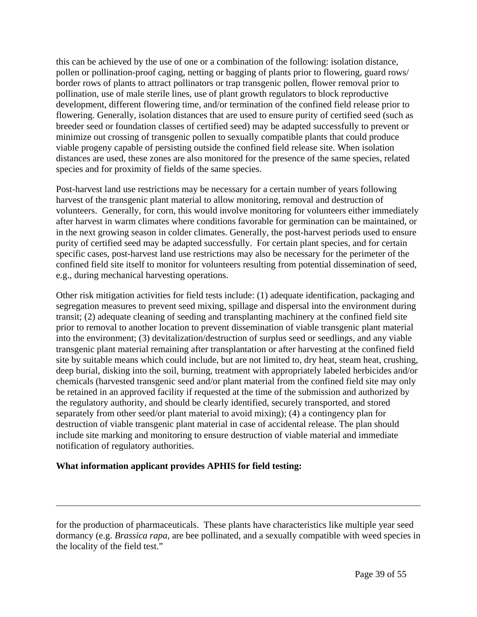this can be achieved by the use of one or a combination of the following: isolation distance, pollen or pollination-proof caging, netting or bagging of plants prior to flowering, guard rows/ border rows of plants to attract pollinators or trap transgenic pollen, flower removal prior to pollination, use of male sterile lines, use of plant growth regulators to block reproductive development, different flowering time, and/or termination of the confined field release prior to flowering. Generally, isolation distances that are used to ensure purity of certified seed (such as breeder seed or foundation classes of certified seed) may be adapted successfully to prevent or minimize out crossing of transgenic pollen to sexually compatible plants that could produce viable progeny capable of persisting outside the confined field release site. When isolation distances are used, these zones are also monitored for the presence of the same species, related species and for proximity of fields of the same species.

Post-harvest land use restrictions may be necessary for a certain number of years following harvest of the transgenic plant material to allow monitoring, removal and destruction of volunteers. Generally, for corn, this would involve monitoring for volunteers either immediately after harvest in warm climates where conditions favorable for germination can be maintained, or in the next growing season in colder climates. Generally, the post-harvest periods used to ensure purity of certified seed may be adapted successfully. For certain plant species, and for certain specific cases, post-harvest land use restrictions may also be necessary for the perimeter of the confined field site itself to monitor for volunteers resulting from potential dissemination of seed, e.g., during mechanical harvesting operations.

Other risk mitigation activities for field tests include: (1) adequate identification, packaging and segregation measures to prevent seed mixing, spillage and dispersal into the environment during transit; (2) adequate cleaning of seeding and transplanting machinery at the confined field site prior to removal to another location to prevent dissemination of viable transgenic plant material into the environment; (3) devitalization/destruction of surplus seed or seedlings, and any viable transgenic plant material remaining after transplantation or after harvesting at the confined field site by suitable means which could include, but are not limited to, dry heat, steam heat, crushing, deep burial, disking into the soil, burning, treatment with appropriately labeled herbicides and/or chemicals (harvested transgenic seed and/or plant material from the confined field site may only be retained in an approved facility if requested at the time of the submission and authorized by the regulatory authority, and should be clearly identified, securely transported, and stored separately from other seed/or plant material to avoid mixing); (4) a contingency plan for destruction of viable transgenic plant material in case of accidental release. The plan should include site marking and monitoring to ensure destruction of viable material and immediate notification of regulatory authorities.

#### **What information applicant provides APHIS for field testing:**

 $\overline{a}$ 

for the production of pharmaceuticals. These plants have characteristics like multiple year seed dormancy (e.g. *Brassica rapa*, are bee pollinated, and a sexually compatible with weed species in the locality of the field test."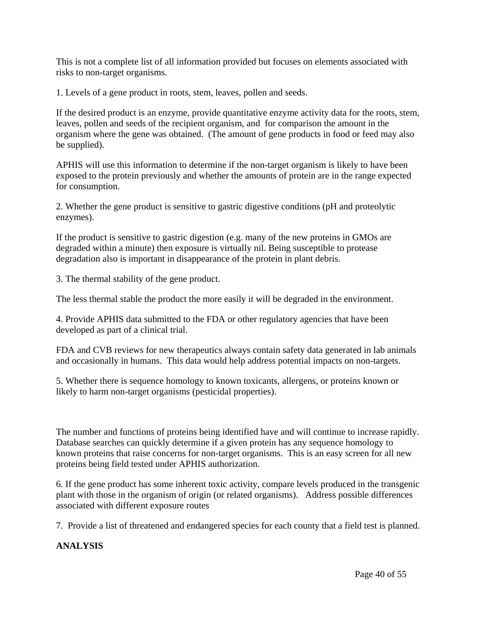This is not a complete list of all information provided but focuses on elements associated with risks to non-target organisms.

1. Levels of a gene product in roots, stem, leaves, pollen and seeds.

If the desired product is an enzyme, provide quantitative enzyme activity data for the roots, stem, leaves, pollen and seeds of the recipient organism, and for comparison the amount in the organism where the gene was obtained. (The amount of gene products in food or feed may also be supplied).

APHIS will use this information to determine if the non-target organism is likely to have been exposed to the protein previously and whether the amounts of protein are in the range expected for consumption.

2. Whether the gene product is sensitive to gastric digestive conditions (pH and proteolytic enzymes).

If the product is sensitive to gastric digestion (e.g. many of the new proteins in GMOs are degraded within a minute) then exposure is virtually nil. Being susceptible to protease degradation also is important in disappearance of the protein in plant debris.

3. The thermal stability of the gene product.

The less thermal stable the product the more easily it will be degraded in the environment.

4. Provide APHIS data submitted to the FDA or other regulatory agencies that have been developed as part of a clinical trial.

FDA and CVB reviews for new therapeutics always contain safety data generated in lab animals and occasionally in humans. This data would help address potential impacts on non-targets.

5. Whether there is sequence homology to known toxicants, allergens, or proteins known or likely to harm non-target organisms (pesticidal properties).

The number and functions of proteins being identified have and will continue to increase rapidly. Database searches can quickly determine if a given protein has any sequence homology to known proteins that raise concerns for non-target organisms. This is an easy screen for all new proteins being field tested under APHIS authorization.

6. If the gene product has some inherent toxic activity, compare levels produced in the transgenic plant with those in the organism of origin (or related organisms). Address possible differences associated with different exposure routes

7. Provide a list of threatened and endangered species for each county that a field test is planned.

#### **ANALYSIS**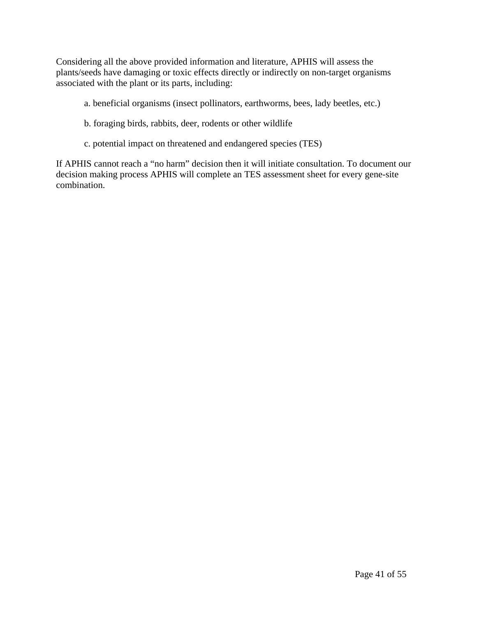Considering all the above provided information and literature, APHIS will assess the plants/seeds have damaging or toxic effects directly or indirectly on non-target organisms associated with the plant or its parts, including:

- a. beneficial organisms (insect pollinators, earthworms, bees, lady beetles, etc.)
- b. foraging birds, rabbits, deer, rodents or other wildlife
- c. potential impact on threatened and endangered species (TES)

If APHIS cannot reach a "no harm" decision then it will initiate consultation. To document our decision making process APHIS will complete an TES assessment sheet for every gene-site combination.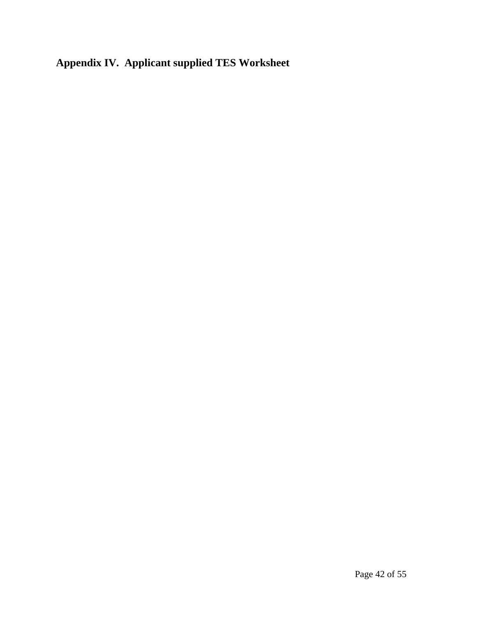# **Appendix IV. Applicant supplied TES Worksheet**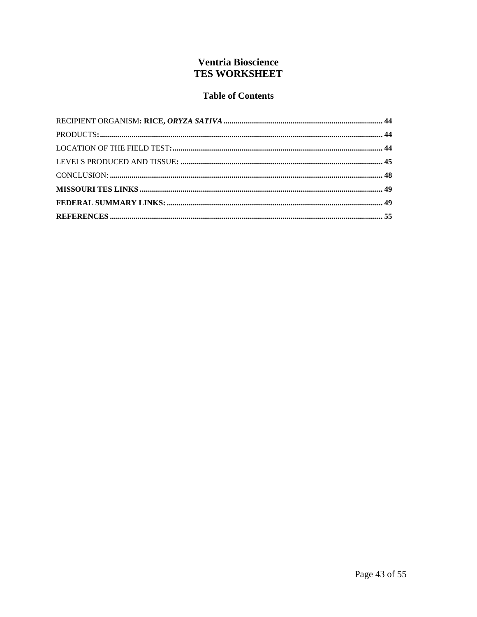## **Ventria Bioscience TES WORKSHEET**

## **Table of Contents**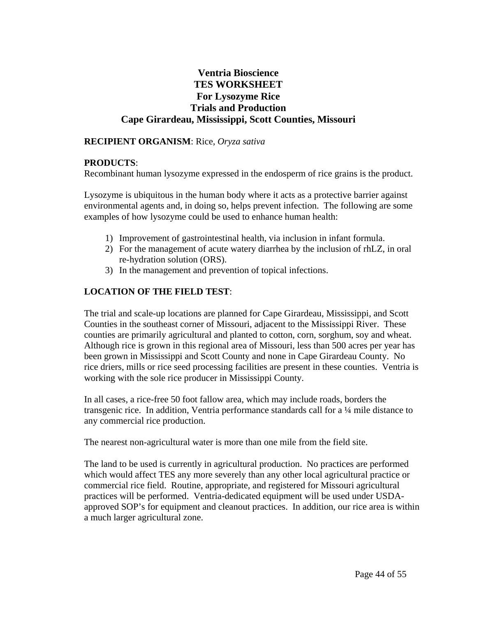### **Ventria Bioscience TES WORKSHEET For Lysozyme Rice Trials and Production Cape Girardeau, Mississippi, Scott Counties, Missouri**

#### **RECIPIENT ORGANISM**: Rice, *Oryza sativa*

#### **PRODUCTS**:

Recombinant human lysozyme expressed in the endosperm of rice grains is the product.

Lysozyme is ubiquitous in the human body where it acts as a protective barrier against environmental agents and, in doing so, helps prevent infection. The following are some examples of how lysozyme could be used to enhance human health:

- 1) Improvement of gastrointestinal health, via inclusion in infant formula.
- 2) For the management of acute watery diarrhea by the inclusion of rhLZ, in oral re-hydration solution (ORS).
- 3) In the management and prevention of topical infections.

#### **LOCATION OF THE FIELD TEST**:

The trial and scale-up locations are planned for Cape Girardeau, Mississippi, and Scott Counties in the southeast corner of Missouri, adjacent to the Mississippi River. These counties are primarily agricultural and planted to cotton, corn, sorghum, soy and wheat. Although rice is grown in this regional area of Missouri, less than 500 acres per year has been grown in Mississippi and Scott County and none in Cape Girardeau County. No rice driers, mills or rice seed processing facilities are present in these counties. Ventria is working with the sole rice producer in Mississippi County.

In all cases, a rice-free 50 foot fallow area, which may include roads, borders the transgenic rice. In addition, Ventria performance standards call for a ¼ mile distance to any commercial rice production.

The nearest non-agricultural water is more than one mile from the field site.

The land to be used is currently in agricultural production. No practices are performed which would affect TES any more severely than any other local agricultural practice or commercial rice field. Routine, appropriate, and registered for Missouri agricultural practices will be performed. Ventria-dedicated equipment will be used under USDAapproved SOP's for equipment and cleanout practices. In addition, our rice area is within a much larger agricultural zone.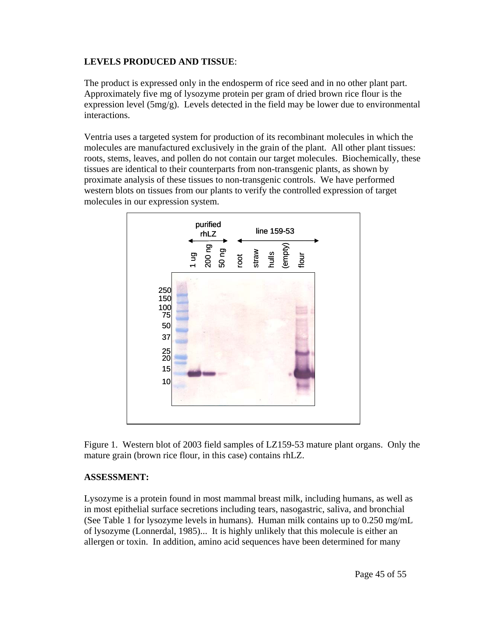#### **LEVELS PRODUCED AND TISSUE**:

The product is expressed only in the endosperm of rice seed and in no other plant part. Approximately five mg of lysozyme protein per gram of dried brown rice flour is the expression level (5mg/g). Levels detected in the field may be lower due to environmental interactions.

Ventria uses a targeted system for production of its recombinant molecules in which the molecules are manufactured exclusively in the grain of the plant. All other plant tissues: roots, stems, leaves, and pollen do not contain our target molecules. Biochemically, these tissues are identical to their counterparts from non-transgenic plants, as shown by proximate analysis of these tissues to non-transgenic controls. We have performed western blots on tissues from our plants to verify the controlled expression of target molecules in our expression system.



Figure 1. Western blot of 2003 field samples of LZ159-53 mature plant organs. Only the mature grain (brown rice flour, in this case) contains rhLZ.

#### **ASSESSMENT:**

Lysozyme is a protein found in most mammal breast milk, including humans, as well as in most epithelial surface secretions including tears, nasogastric, saliva, and bronchial (See Table 1 for lysozyme levels in humans). Human milk contains up to 0.250 mg/mL of lysozyme (Lonnerdal, 1985)... It is highly unlikely that this molecule is either an allergen or toxin. In addition, amino acid sequences have been determined for many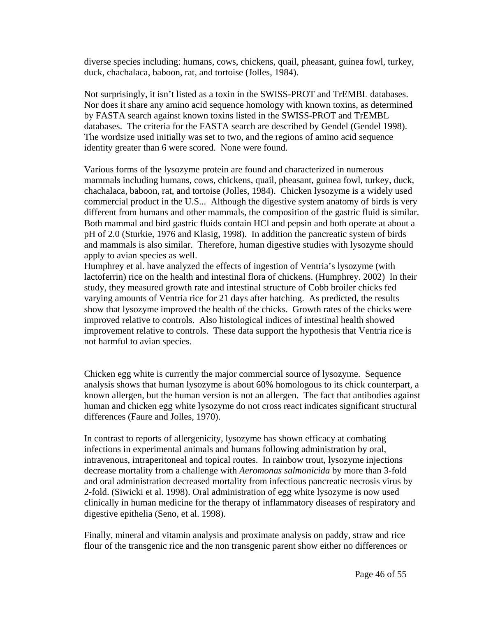diverse species including: humans, cows, chickens, quail, pheasant, guinea fowl, turkey, duck, chachalaca, baboon, rat, and tortoise (Jolles, 1984).

Not surprisingly, it isn't listed as a toxin in the SWISS-PROT and TrEMBL databases. Nor does it share any amino acid sequence homology with known toxins, as determined by FASTA search against known toxins listed in the SWISS-PROT and TrEMBL databases. The criteria for the FASTA search are described by Gendel (Gendel 1998). The wordsize used initially was set to two, and the regions of amino acid sequence identity greater than 6 were scored. None were found.

Various forms of the lysozyme protein are found and characterized in numerous mammals including humans, cows, chickens, quail, pheasant, guinea fowl, turkey, duck, chachalaca, baboon, rat, and tortoise (Jolles, 1984). Chicken lysozyme is a widely used commercial product in the U.S... Although the digestive system anatomy of birds is very different from humans and other mammals, the composition of the gastric fluid is similar. Both mammal and bird gastric fluids contain HCl and pepsin and both operate at about a pH of 2.0 (Sturkie, 1976 and Klasig, 1998). In addition the pancreatic system of birds and mammals is also similar. Therefore, human digestive studies with lysozyme should apply to avian species as well.

Humphrey et al. have analyzed the effects of ingestion of Ventria's lysozyme (with lactoferrin) rice on the health and intestinal flora of chickens. (Humphrey. 2002) In their study, they measured growth rate and intestinal structure of Cobb broiler chicks fed varying amounts of Ventria rice for 21 days after hatching. As predicted, the results show that lysozyme improved the health of the chicks. Growth rates of the chicks were improved relative to controls. Also histological indices of intestinal health showed improvement relative to controls. These data support the hypothesis that Ventria rice is not harmful to avian species.

Chicken egg white is currently the major commercial source of lysozyme. Sequence analysis shows that human lysozyme is about 60% homologous to its chick counterpart, a known allergen, but the human version is not an allergen. The fact that antibodies against human and chicken egg white lysozyme do not cross react indicates significant structural differences (Faure and Jolles, 1970).

In contrast to reports of allergenicity, lysozyme has shown efficacy at combating infections in experimental animals and humans following administration by oral, intravenous, intraperitoneal and topical routes. In rainbow trout, lysozyme injections decrease mortality from a challenge with *Aeromonas salmonicida* by more than 3-fold and oral administration decreased mortality from infectious pancreatic necrosis virus by 2-fold. (Siwicki et al. 1998). Oral administration of egg white lysozyme is now used clinically in human medicine for the therapy of inflammatory diseases of respiratory and digestive epithelia (Seno, et al. 1998).

Finally, mineral and vitamin analysis and proximate analysis on paddy, straw and rice flour of the transgenic rice and the non transgenic parent show either no differences or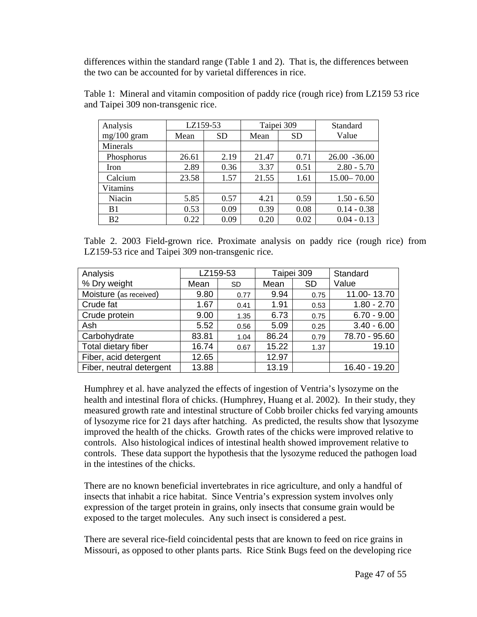differences within the standard range (Table 1 and 2). That is, the differences between the two can be accounted for by varietal differences in rice.

| Analysis        | LZ159-53 |           | Taipei 309 |           | Standard        |  |
|-----------------|----------|-----------|------------|-----------|-----------------|--|
| $mg/100$ gram   | Mean     | <b>SD</b> | Mean       | <b>SD</b> | Value           |  |
| <b>Minerals</b> |          |           |            |           |                 |  |
| Phosphorus      | 26.61    | 2.19      | 21.47      | 0.71      | $26.00 - 36.00$ |  |
| Iron            | 2.89     | 0.36      | 3.37       | 0.51      | $2.80 - 5.70$   |  |
| Calcium         | 23.58    | 1.57      | 21.55      | 1.61      | $15.00 - 70.00$ |  |
| <b>Vitamins</b> |          |           |            |           |                 |  |
| Niacin          | 5.85     | 0.57      | 4.21       | 0.59      | $1.50 - 6.50$   |  |
| B <sub>1</sub>  | 0.53     | 0.09      | 0.39       | 0.08      | $0.14 - 0.38$   |  |
| B <sub>2</sub>  | 0.22     | 0.09      | 0.20       | 0.02      | $0.04 - 0.13$   |  |

Table 1: Mineral and vitamin composition of paddy rice (rough rice) from LZ159 53 rice and Taipei 309 non-transgenic rice.

Table 2. 2003 Field-grown rice. Proximate analysis on paddy rice (rough rice) from LZ159-53 rice and Taipei 309 non-transgenic rice.

| Analysis                 | LZ159-53 |           | Taipei 309 |           | Standard      |
|--------------------------|----------|-----------|------------|-----------|---------------|
| % Dry weight             | Mean     | <b>SD</b> | Mean       | <b>SD</b> | Value         |
| Moisture (as received)   | 9.80     | 0.77      | 9.94       | 0.75      | 11.00-13.70   |
| Crude fat                | 1.67     | 0.41      | 1.91       | 0.53      | $1.80 - 2.70$ |
| Crude protein            | 9.00     | 1.35      | 6.73       | 0.75      | $6.70 - 9.00$ |
| Ash                      | 5.52     | 0.56      | 5.09       | 0.25      | $3.40 - 6.00$ |
| Carbohydrate             | 83.81    | 1.04      | 86.24      | 0.79      | 78.70 - 95.60 |
| Total dietary fiber      | 16.74    | 0.67      | 15.22      | 1.37      | 19.10         |
| Fiber, acid detergent    | 12.65    |           | 12.97      |           |               |
| Fiber, neutral detergent | 13.88    |           | 13.19      |           | 16.40 - 19.20 |

Humphrey et al. have analyzed the effects of ingestion of Ventria's lysozyme on the health and intestinal flora of chicks. (Humphrey, Huang et al. 2002). In their study, they measured growth rate and intestinal structure of Cobb broiler chicks fed varying amounts of lysozyme rice for 21 days after hatching. As predicted, the results show that lysozyme improved the health of the chicks. Growth rates of the chicks were improved relative to controls. Also histological indices of intestinal health showed improvement relative to controls. These data support the hypothesis that the lysozyme reduced the pathogen load in the intestines of the chicks.

There are no known beneficial invertebrates in rice agriculture, and only a handful of insects that inhabit a rice habitat. Since Ventria's expression system involves only expression of the target protein in grains, only insects that consume grain would be exposed to the target molecules. Any such insect is considered a pest.

There are several rice-field coincidental pests that are known to feed on rice grains in Missouri, as opposed to other plants parts. Rice Stink Bugs feed on the developing rice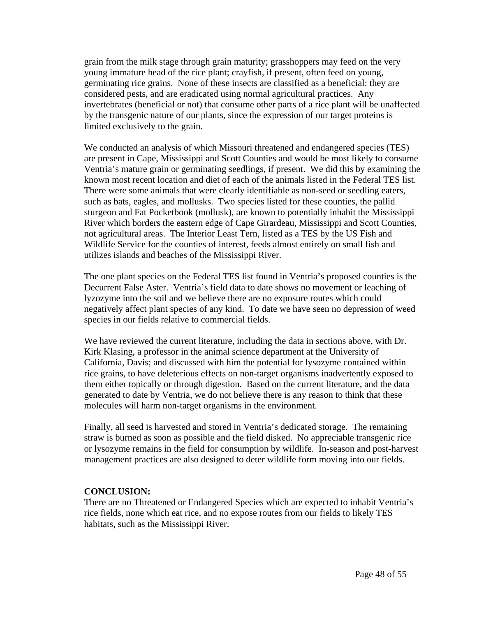grain from the milk stage through grain maturity; grasshoppers may feed on the very young immature head of the rice plant; crayfish, if present, often feed on young, germinating rice grains. None of these insects are classified as a beneficial: they are considered pests, and are eradicated using normal agricultural practices. Any invertebrates (beneficial or not) that consume other parts of a rice plant will be unaffected by the transgenic nature of our plants, since the expression of our target proteins is limited exclusively to the grain.

We conducted an analysis of which Missouri threatened and endangered species (TES) are present in Cape, Mississippi and Scott Counties and would be most likely to consume Ventria's mature grain or germinating seedlings, if present. We did this by examining the known most recent location and diet of each of the animals listed in the Federal TES list. There were some animals that were clearly identifiable as non-seed or seedling eaters, such as bats, eagles, and mollusks. Two species listed for these counties, the pallid sturgeon and Fat Pocketbook (mollusk), are known to potentially inhabit the Mississippi River which borders the eastern edge of Cape Girardeau, Mississippi and Scott Counties, not agricultural areas. The Interior Least Tern, listed as a TES by the US Fish and Wildlife Service for the counties of interest, feeds almost entirely on small fish and utilizes islands and beaches of the Mississippi River.

The one plant species on the Federal TES list found in Ventria's proposed counties is the Decurrent False Aster. Ventria's field data to date shows no movement or leaching of lyzozyme into the soil and we believe there are no exposure routes which could negatively affect plant species of any kind. To date we have seen no depression of weed species in our fields relative to commercial fields.

We have reviewed the current literature, including the data in sections above, with Dr. Kirk Klasing, a professor in the animal science department at the University of California, Davis; and discussed with him the potential for lysozyme contained within rice grains, to have deleterious effects on non-target organisms inadvertently exposed to them either topically or through digestion. Based on the current literature, and the data generated to date by Ventria, we do not believe there is any reason to think that these molecules will harm non-target organisms in the environment.

Finally, all seed is harvested and stored in Ventria's dedicated storage. The remaining straw is burned as soon as possible and the field disked. No appreciable transgenic rice or lysozyme remains in the field for consumption by wildlife. In-season and post-harvest management practices are also designed to deter wildlife form moving into our fields.

#### **CONCLUSION:**

There are no Threatened or Endangered Species which are expected to inhabit Ventria's rice fields, none which eat rice, and no expose routes from our fields to likely TES habitats, such as the Mississippi River.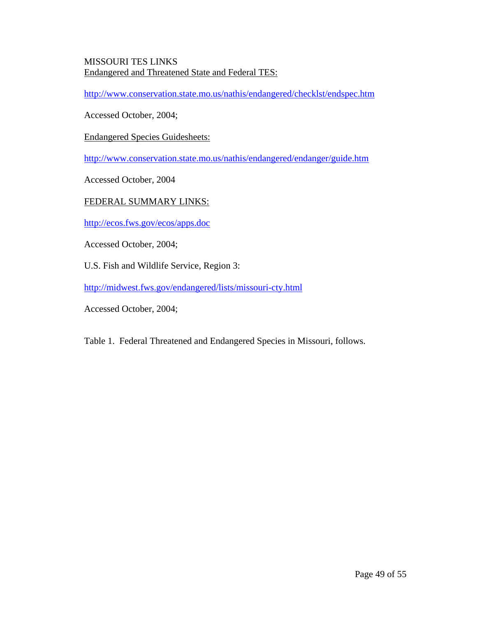#### MISSOURI TES LINKS Endangered and Threatened State and Federal TES:

http://www.conservation.state.mo.us/nathis/endangered/checklst/endspec.htm

Accessed October, 2004;

Endangered Species Guidesheets:

http://www.conservation.state.mo.us/nathis/endangered/endanger/guide.htm

Accessed October, 2004

### FEDERAL SUMMARY LINKS:

http://ecos.fws.gov/ecos/apps.doc

Accessed October, 2004;

U.S. Fish and Wildlife Service, Region 3:

http://midwest.fws.gov/endangered/lists/missouri-cty.html

Accessed October, 2004;

Table 1. Federal Threatened and Endangered Species in Missouri, follows.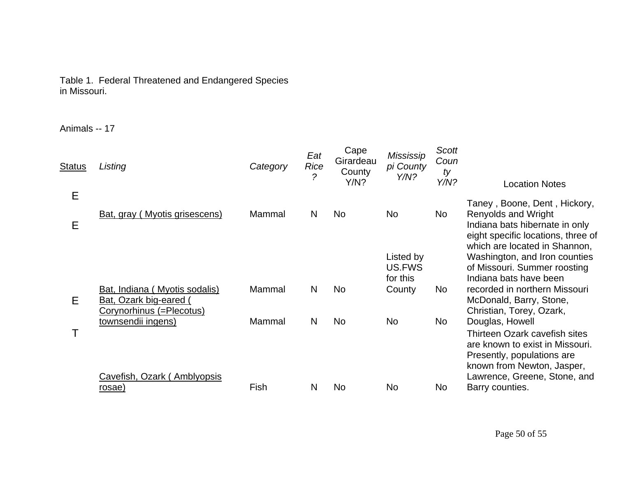### Table 1. Federal Threatened and Endangered Species in Missouri.

Animals -- 17

| <b>Status</b> | Listing                                                                           | Category | Eat<br>Rice<br>? | Cape<br>Girardeau<br>County<br>Y/N? | <b>Mississip</b><br>pi County<br>Y/N? | <b>Scott</b><br>Coun<br>ty<br>Y/N? | <b>Location Notes</b>                                                                                                                           |
|---------------|-----------------------------------------------------------------------------------|----------|------------------|-------------------------------------|---------------------------------------|------------------------------------|-------------------------------------------------------------------------------------------------------------------------------------------------|
| Е<br>Ε        | Bat, gray (Myotis grisescens)                                                     | Mammal   | N                | <b>No</b>                           | <b>No</b>                             | No                                 | Taney, Boone, Dent, Hickory,<br><b>Renyolds and Wright</b><br>Indiana bats hibernate in only<br>eight specific locations, three of              |
|               |                                                                                   |          |                  |                                     | Listed by<br>US.FWS<br>for this       |                                    | which are located in Shannon,<br>Washington, and Iron counties<br>of Missouri. Summer roosting<br>Indiana bats have been                        |
| Е             | Bat, Indiana (Myotis sodalis)<br>Bat, Ozark big-eared<br>Corynorhinus (=Plecotus) | Mammal   | N                | <b>No</b>                           | County                                | No.                                | recorded in northern Missouri<br>McDonald, Barry, Stone,<br>Christian, Torey, Ozark,                                                            |
|               | townsendii ingens)                                                                | Mammal   | N                | <b>No</b>                           | <b>No</b>                             | No                                 | Douglas, Howell<br>Thirteen Ozark cavefish sites<br>are known to exist in Missouri.<br>Presently, populations are<br>known from Newton, Jasper, |
|               | Cavefish, Ozark (Amblyopsis<br><u>rosae)</u>                                      | Fish     | N                | No                                  | <b>No</b>                             | No                                 | Lawrence, Greene, Stone, and<br>Barry counties.                                                                                                 |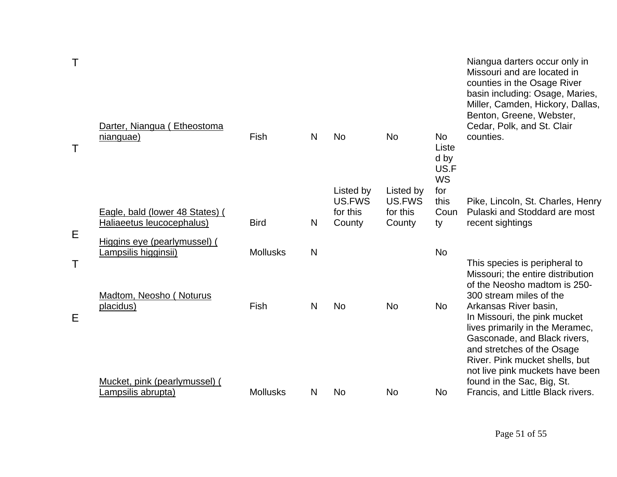| Т | Darter, Niangua (Etheostoma                         |                 |              |                     |                     |                                                 | Niangua darters occur only in<br>Missouri and are located in<br>counties in the Osage River<br>basin including: Osage, Maries,<br>Miller, Camden, Hickory, Dallas,<br>Benton, Greene, Webster,<br>Cedar, Polk, and St. Clair |
|---|-----------------------------------------------------|-----------------|--------------|---------------------|---------------------|-------------------------------------------------|------------------------------------------------------------------------------------------------------------------------------------------------------------------------------------------------------------------------------|
|   | nianguae)                                           | Fish            | N            | <b>No</b>           | <b>No</b>           | <b>No</b><br>Liste<br>d by<br>US.F<br><b>WS</b> | counties.                                                                                                                                                                                                                    |
|   |                                                     |                 |              | Listed by<br>US.FWS | Listed by<br>US.FWS | for<br>this                                     | Pike, Lincoln, St. Charles, Henry                                                                                                                                                                                            |
|   | Eagle, bald (lower 48 States) (                     |                 |              | for this            | for this            | Coun                                            | Pulaski and Stoddard are most                                                                                                                                                                                                |
| Е | Haliaeetus leucocephalus)                           | <b>Bird</b>     | N            | County              | County              | ty                                              | recent sightings                                                                                                                                                                                                             |
|   | Higgins eye (pearlymussel) (                        |                 |              |                     |                     |                                                 |                                                                                                                                                                                                                              |
| Τ | Lampsilis higginsii)                                | <b>Mollusks</b> | $\mathsf{N}$ |                     |                     | <b>No</b>                                       | This species is peripheral to<br>Missouri; the entire distribution<br>of the Neosho madtom is 250-                                                                                                                           |
|   | Madtom, Neosho (Noturus                             |                 |              |                     |                     |                                                 | 300 stream miles of the                                                                                                                                                                                                      |
| Ε | placidus)                                           | Fish            | N            | <b>No</b>           | <b>No</b>           | <b>No</b>                                       | Arkansas River basin,<br>In Missouri, the pink mucket<br>lives primarily in the Meramec,<br>Gasconade, and Black rivers,<br>and stretches of the Osage<br>River. Pink mucket shells, but<br>not live pink muckets have been  |
|   | Mucket, pink (pearlymussel) (<br>Lampsilis abrupta) | <b>Mollusks</b> | N            | <b>No</b>           | <b>No</b>           | <b>No</b>                                       | found in the Sac, Big, St.<br>Francis, and Little Black rivers.                                                                                                                                                              |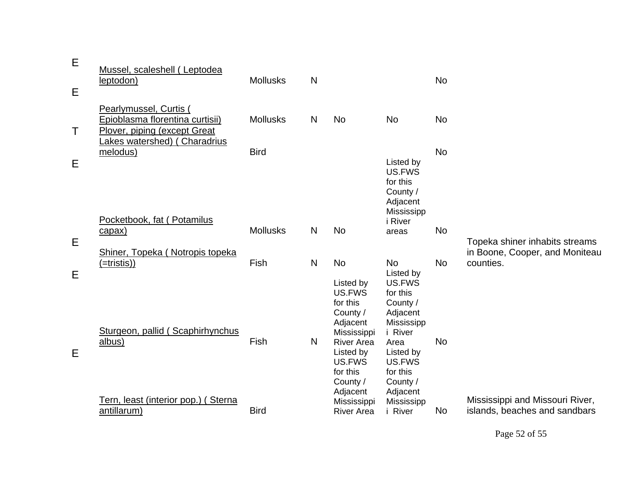| E      | Mussel, scaleshell (Leptodea<br>leptodon)                                                 | <b>Mollusks</b> | $\mathsf{N}$ |                                                                                                                    |                                                                                                                 | <b>No</b> |                                                                  |
|--------|-------------------------------------------------------------------------------------------|-----------------|--------------|--------------------------------------------------------------------------------------------------------------------|-----------------------------------------------------------------------------------------------------------------|-----------|------------------------------------------------------------------|
| E      |                                                                                           |                 |              |                                                                                                                    |                                                                                                                 |           |                                                                  |
| Τ      | Pearlymussel, Curtis (<br>Epioblasma florentina curtisii)<br>Plover, piping (except Great | <b>Mollusks</b> | N            | <b>No</b>                                                                                                          | <b>No</b>                                                                                                       | <b>No</b> |                                                                  |
|        | Lakes watershed) (Charadrius<br>melodus)                                                  | <b>Bird</b>     |              |                                                                                                                    |                                                                                                                 | <b>No</b> |                                                                  |
| Е      |                                                                                           |                 |              |                                                                                                                    | Listed by<br>US.FWS<br>for this<br>County /<br>Adjacent<br>Mississipp                                           |           |                                                                  |
|        | Pocketbook, fat (Potamilus                                                                |                 |              |                                                                                                                    | <i>i</i> River                                                                                                  |           |                                                                  |
|        | capax)                                                                                    | <b>Mollusks</b> | N            | <b>No</b>                                                                                                          | areas                                                                                                           | <b>No</b> |                                                                  |
| Е      | Shiner, Topeka (Notropis topeka                                                           |                 |              |                                                                                                                    |                                                                                                                 |           | Topeka shiner inhabits streams<br>in Boone, Cooper, and Moniteau |
|        | $($ =tristis))                                                                            | Fish            | N            | <b>No</b>                                                                                                          | <b>No</b>                                                                                                       | <b>No</b> | counties.                                                        |
| Е<br>Е | Sturgeon, pallid (Scaphirhynchus<br>albus)                                                | Fish            | N            | Listed by<br>US.FWS<br>for this<br>County /<br>Adjacent<br>Mississippi<br><b>River Area</b><br>Listed by<br>US.FWS | Listed by<br>US.FWS<br>for this<br>County /<br>Adjacent<br>Mississipp<br>i River<br>Area<br>Listed by<br>US.FWS | <b>No</b> |                                                                  |
|        | Tern, least (interior pop.) (Sterna<br>antillarum)                                        | <b>Bird</b>     |              | for this<br>County /<br>Adjacent<br>Mississippi<br><b>River Area</b>                                               | for this<br>County /<br>Adjacent<br>Mississipp<br>i River                                                       | <b>No</b> | Mississippi and Missouri River,<br>islands, beaches and sandbars |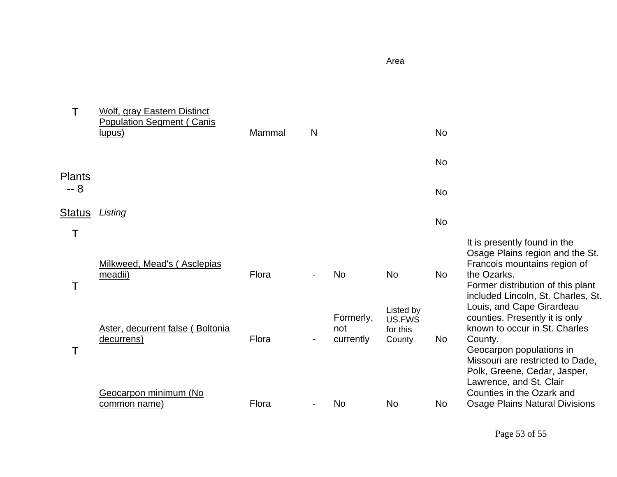|                       | <b>Wolf, gray Eastern Distinct</b><br><b>Population Segment (Canis</b> |        |   |                               |                                           |                |                                                                                                                                                                                                                                    |
|-----------------------|------------------------------------------------------------------------|--------|---|-------------------------------|-------------------------------------------|----------------|------------------------------------------------------------------------------------------------------------------------------------------------------------------------------------------------------------------------------------|
|                       | lupus)                                                                 | Mammal | N |                               |                                           | <b>No</b>      |                                                                                                                                                                                                                                    |
|                       |                                                                        |        |   |                               |                                           | <b>No</b>      |                                                                                                                                                                                                                                    |
| <b>Plants</b><br>$-8$ |                                                                        |        |   |                               |                                           | <b>No</b>      |                                                                                                                                                                                                                                    |
| Status                | Listing                                                                |        |   |                               |                                           | <b>No</b>      |                                                                                                                                                                                                                                    |
| T                     | Milkweed, Mead's (Asclepias<br>meadii)                                 | Flora  |   | <b>No</b>                     | <b>No</b>                                 | <b>No</b>      | It is presently found in the<br>Osage Plains region and the St.<br>Francois mountains region of<br>the Ozarks.<br>Former distribution of this plant<br>included Lincoln, St. Charles, St.                                          |
|                       | Aster, decurrent false (Boltonia<br>decurrens)                         | Flora  |   | Formerly,<br>not<br>currently | Listed by<br>US.FWS<br>for this<br>County | No             | Louis, and Cape Girardeau<br>counties. Presently it is only<br>known to occur in St. Charles<br>County.<br>Geocarpon populations in<br>Missouri are restricted to Dade,<br>Polk, Greene, Cedar, Jasper,<br>Lawrence, and St. Clair |
|                       | Geocarpon minimum (No<br>common name)                                  | Flora  |   | No.                           | <b>No</b>                                 | N <sub>o</sub> | Counties in the Ozark and<br><b>Osage Plains Natural Divisions</b>                                                                                                                                                                 |

Area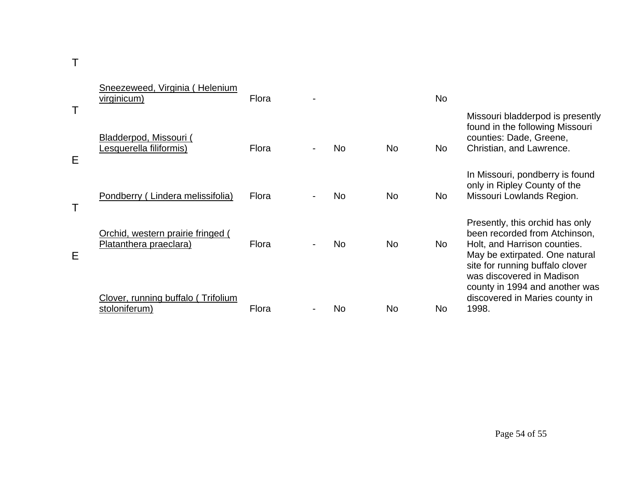T

|   | Sneezeweed, Virginia (Helenium<br><u>virginicum</u> )       | Flora |           |           | <b>No</b> |                                                                                                                                                                                                    |
|---|-------------------------------------------------------------|-------|-----------|-----------|-----------|----------------------------------------------------------------------------------------------------------------------------------------------------------------------------------------------------|
| Е | Bladderpod, Missouri (<br>Lesquerella filiformis)           | Flora | <b>No</b> | No.       | <b>No</b> | Missouri bladderpod is presently<br>found in the following Missouri<br>counties: Dade, Greene,<br>Christian, and Lawrence.                                                                         |
|   | Pondberry (Lindera melissifolia)                            | Flora | <b>No</b> | No.       | <b>No</b> | In Missouri, pondberry is found<br>only in Ripley County of the<br>Missouri Lowlands Region.                                                                                                       |
| Е | Orchid, western prairie fringed (<br>Platanthera praeclara) | Flora | <b>No</b> | <b>No</b> | <b>No</b> | Presently, this orchid has only<br>been recorded from Atchinson,<br>Holt, and Harrison counties.<br>May be extirpated. One natural<br>site for running buffalo clover<br>was discovered in Madison |
|   | Clover, running buffalo (Trifolium<br>stoloniferum)         | Flora | No        | No.       | No        | county in 1994 and another was<br>discovered in Maries county in<br>1998.                                                                                                                          |